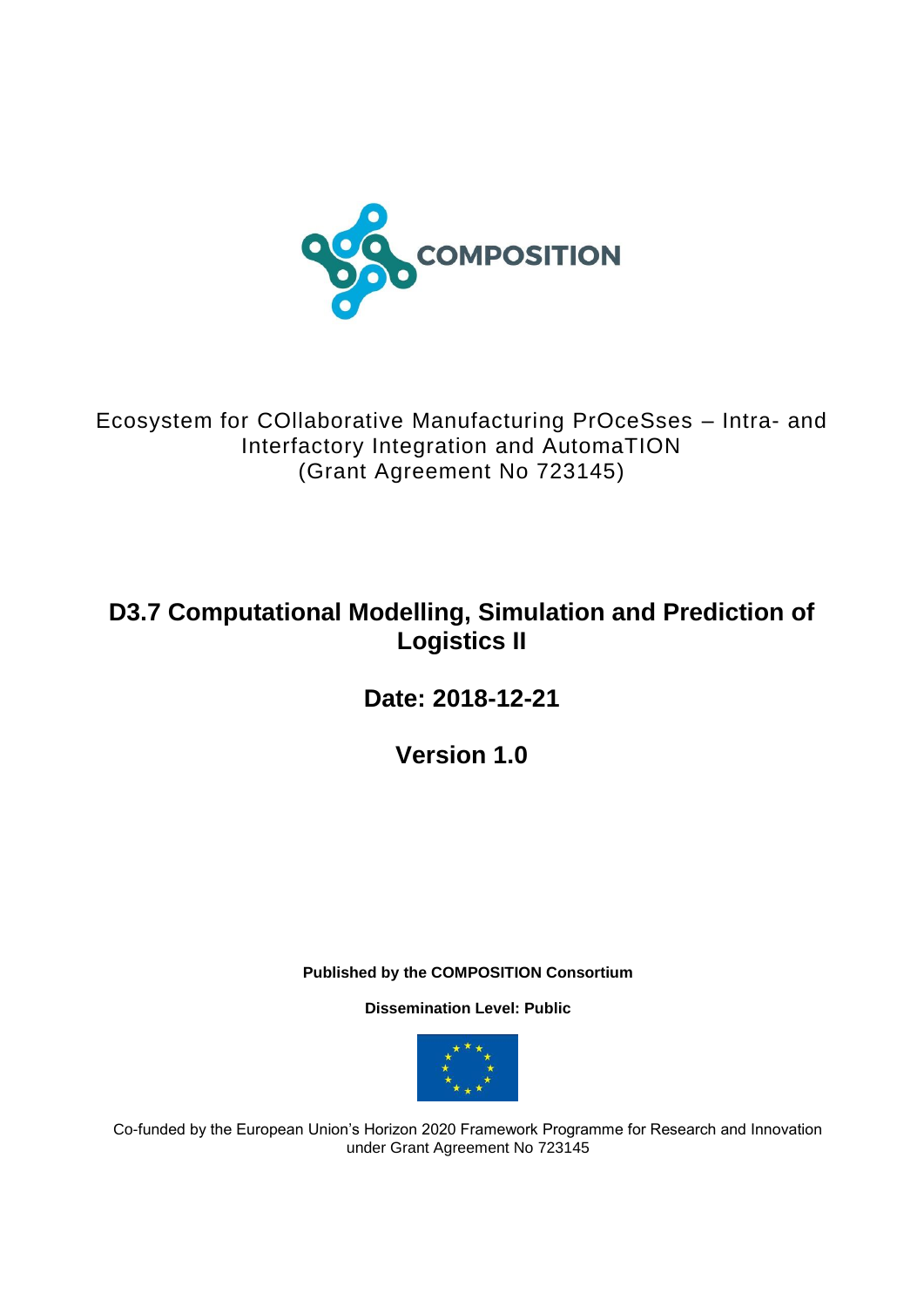

Ecosystem for COllaborative Manufacturing PrOceSses – Intra- and Interfactory Integration and AutomaTION (Grant Agreement No 723145)

# **D3.7 Computational Modelling, Simulation and Prediction of Logistics II**

**Date: 2018-12-21**

**Version 1.0**

**Published by the COMPOSITION Consortium** 

**Dissemination Level: Public**



Co-funded by the European Union's Horizon 2020 Framework Programme for Research and Innovation under Grant Agreement No 723145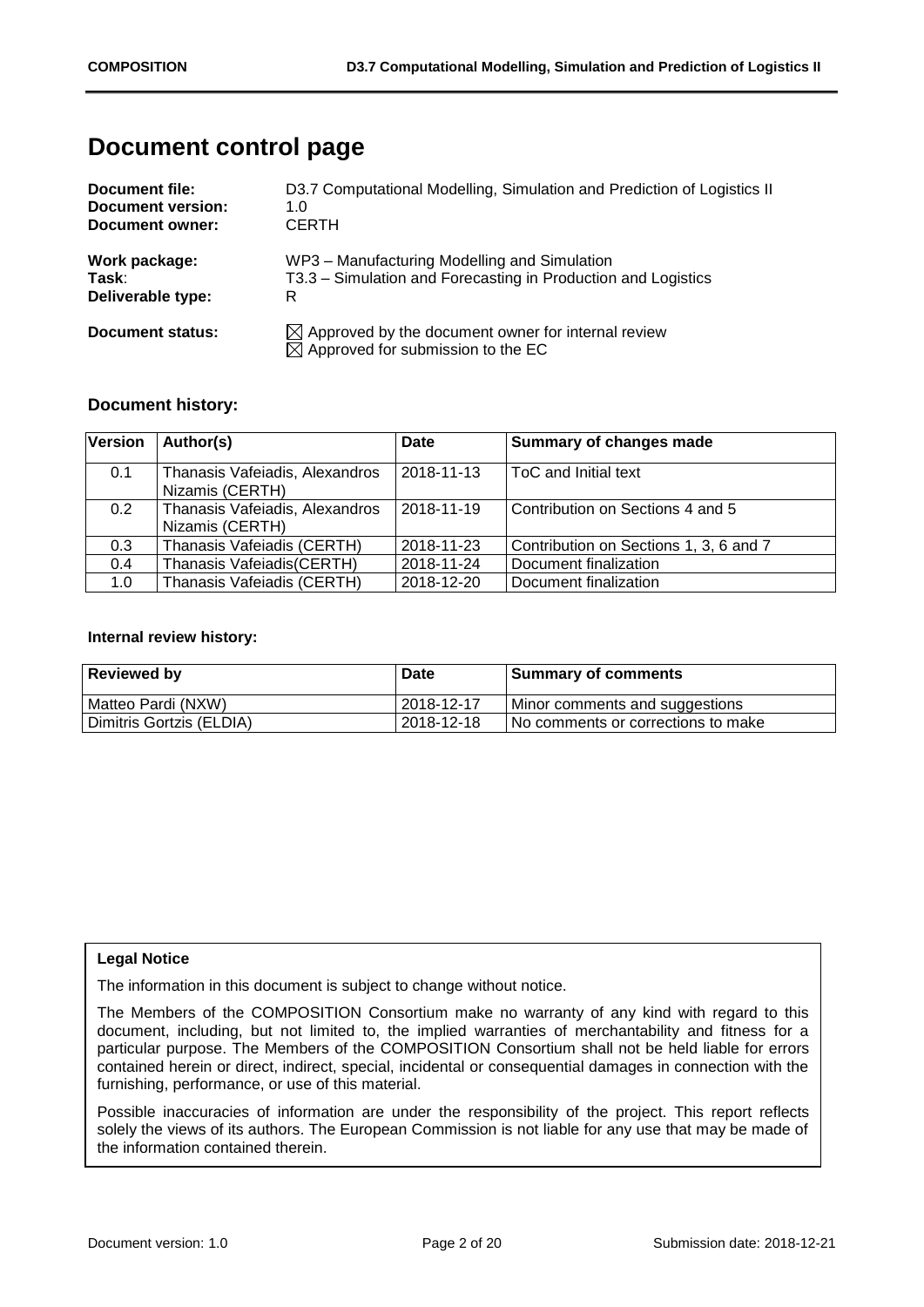## **Document control page**

| Document file:    | D3.7 Computational Modelling, Simulation and Prediction of Logistics II                                         |
|-------------------|-----------------------------------------------------------------------------------------------------------------|
| Document version: | 1.0                                                                                                             |
| Document owner:   | <b>CERTH</b>                                                                                                    |
| Work package:     | WP3 - Manufacturing Modelling and Simulation                                                                    |
| Task:             | T3.3 – Simulation and Forecasting in Production and Logistics                                                   |
| Deliverable type: | R                                                                                                               |
| Document status:  | $\boxtimes$ Approved by the document owner for internal review<br>$\boxtimes$ Approved for submission to the EC |

#### **Document history:**

| <b>Version</b> | Author(s)                                         | Date       | Summary of changes made                |
|----------------|---------------------------------------------------|------------|----------------------------------------|
| 0.1            | Thanasis Vafeiadis, Alexandros<br>Nizamis (CERTH) | 2018-11-13 | ToC and Initial text                   |
| 0.2            | Thanasis Vafeiadis, Alexandros<br>Nizamis (CERTH) | 2018-11-19 | Contribution on Sections 4 and 5       |
| 0.3            | Thanasis Vafeiadis (CERTH)                        | 2018-11-23 | Contribution on Sections 1, 3, 6 and 7 |
| 0.4            | Thanasis Vafeiadis(CERTH)                         | 2018-11-24 | Document finalization                  |
| 1.0            | Thanasis Vafeiadis (CERTH)                        | 2018-12-20 | Document finalization                  |

#### **Internal review history:**

| <b>Reviewed by</b>       | <b>Date</b>  | <b>Summary of comments</b>           |
|--------------------------|--------------|--------------------------------------|
| Matteo Pardi (NXW)       | 2018-12-17   | Minor comments and suggestions       |
| Dimitris Gortzis (ELDIA) | l 2018-12-18 | I No comments or corrections to make |

#### **Legal Notice**

The information in this document is subject to change without notice.

The Members of the COMPOSITION Consortium make no warranty of any kind with regard to this document, including, but not limited to, the implied warranties of merchantability and fitness for a particular purpose. The Members of the COMPOSITION Consortium shall not be held liable for errors contained herein or direct, indirect, special, incidental or consequential damages in connection with the furnishing, performance, or use of this material.

Possible inaccuracies of information are under the responsibility of the project. This report reflects solely the views of its authors. The European Commission is not liable for any use that may be made of the information contained therein.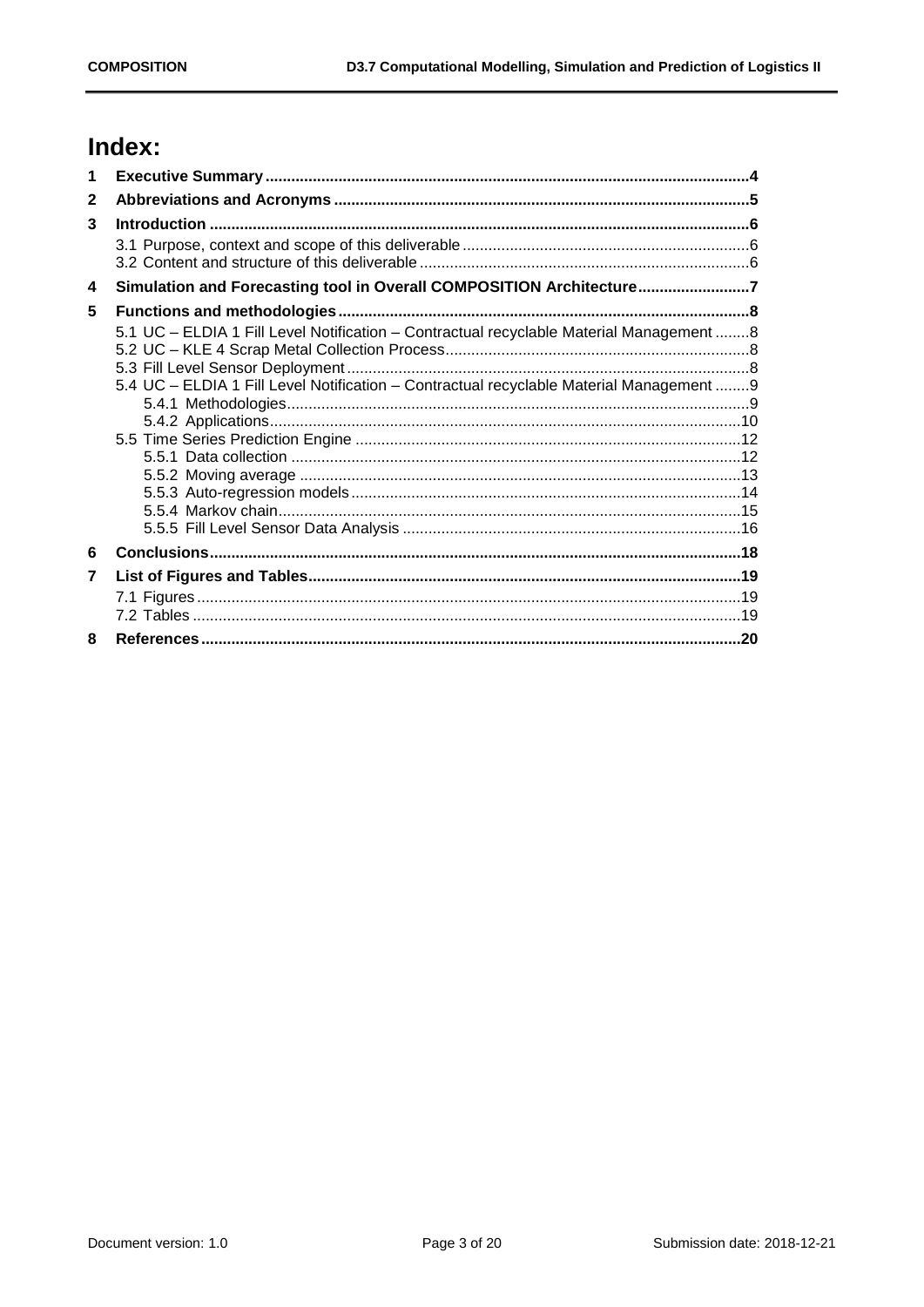# Index:

| 1              |                                                                                                                                                                                      |  |
|----------------|--------------------------------------------------------------------------------------------------------------------------------------------------------------------------------------|--|
| $\mathbf{2}$   |                                                                                                                                                                                      |  |
| 3              |                                                                                                                                                                                      |  |
|                |                                                                                                                                                                                      |  |
| 4              | Simulation and Forecasting tool in Overall COMPOSITION Architecture7                                                                                                                 |  |
| 5              |                                                                                                                                                                                      |  |
|                | 5.1 UC - ELDIA 1 Fill Level Notification - Contractual recyclable Material Management  8<br>5.4 UC - ELDIA 1 Fill Level Notification - Contractual recyclable Material Management  9 |  |
| 6              |                                                                                                                                                                                      |  |
| $\overline{7}$ |                                                                                                                                                                                      |  |
|                |                                                                                                                                                                                      |  |
| 8              |                                                                                                                                                                                      |  |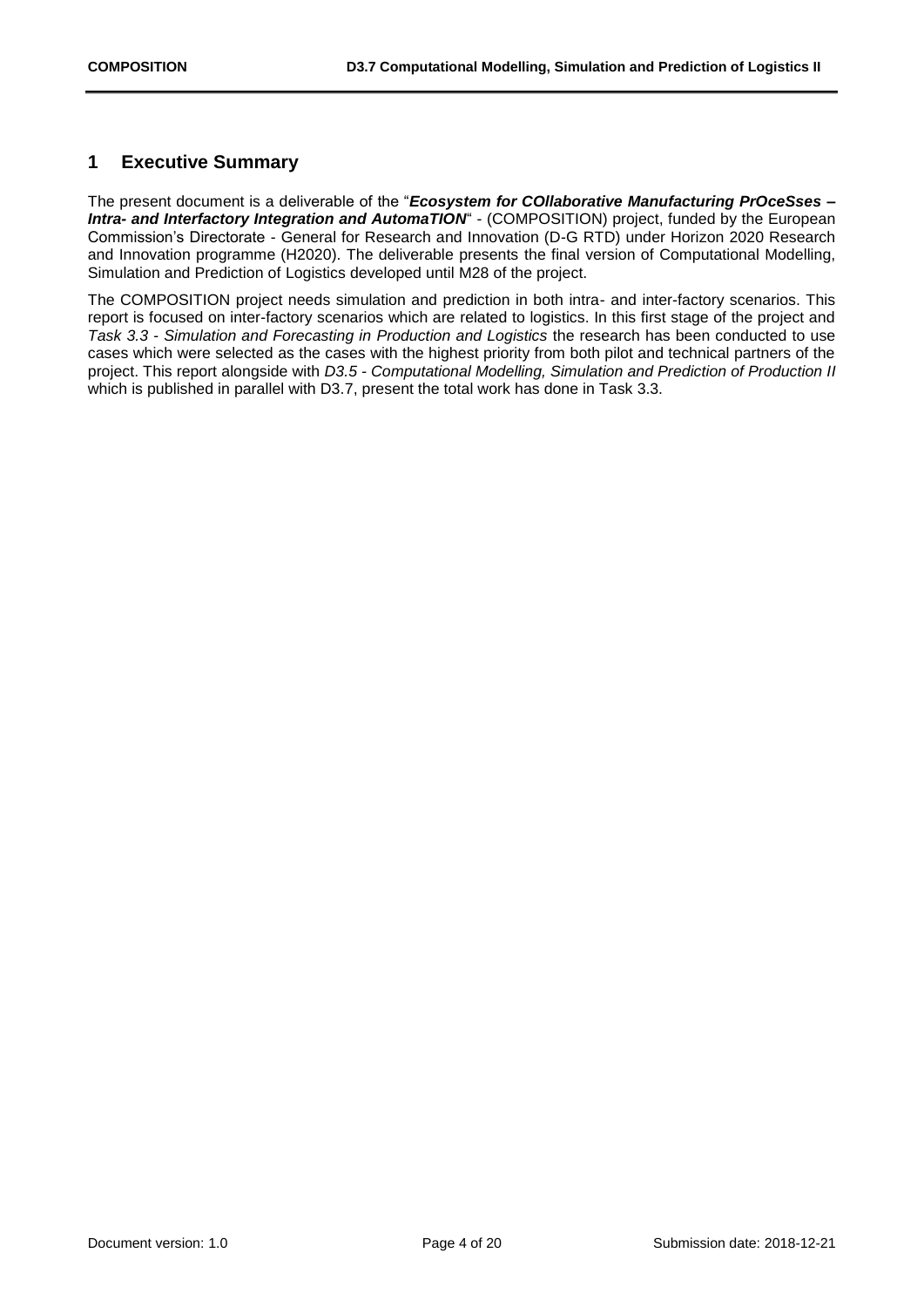## <span id="page-3-0"></span>**1 Executive Summary**

The present document is a deliverable of the "*Ecosystem for COllaborative Manufacturing PrOceSses – Intra- and Interfactory Integration and AutomaTION*" - (COMPOSITION) project, funded by the European Commission's Directorate - General for Research and Innovation (D-G RTD) under Horizon 2020 Research and Innovation programme (H2020). The deliverable presents the final version of Computational Modelling, Simulation and Prediction of Logistics developed until M28 of the project.

The COMPOSITION project needs simulation and prediction in both intra- and inter-factory scenarios. This report is focused on inter-factory scenarios which are related to logistics. In this first stage of the project and *Task 3.3 - Simulation and Forecasting in Production and Logistics* the research has been conducted to use cases which were selected as the cases with the highest priority from both pilot and technical partners of the project. This report alongside with *D3.5 - Computational Modelling, Simulation and Prediction of Production II* which is published in parallel with D3.7, present the total work has done in Task 3.3.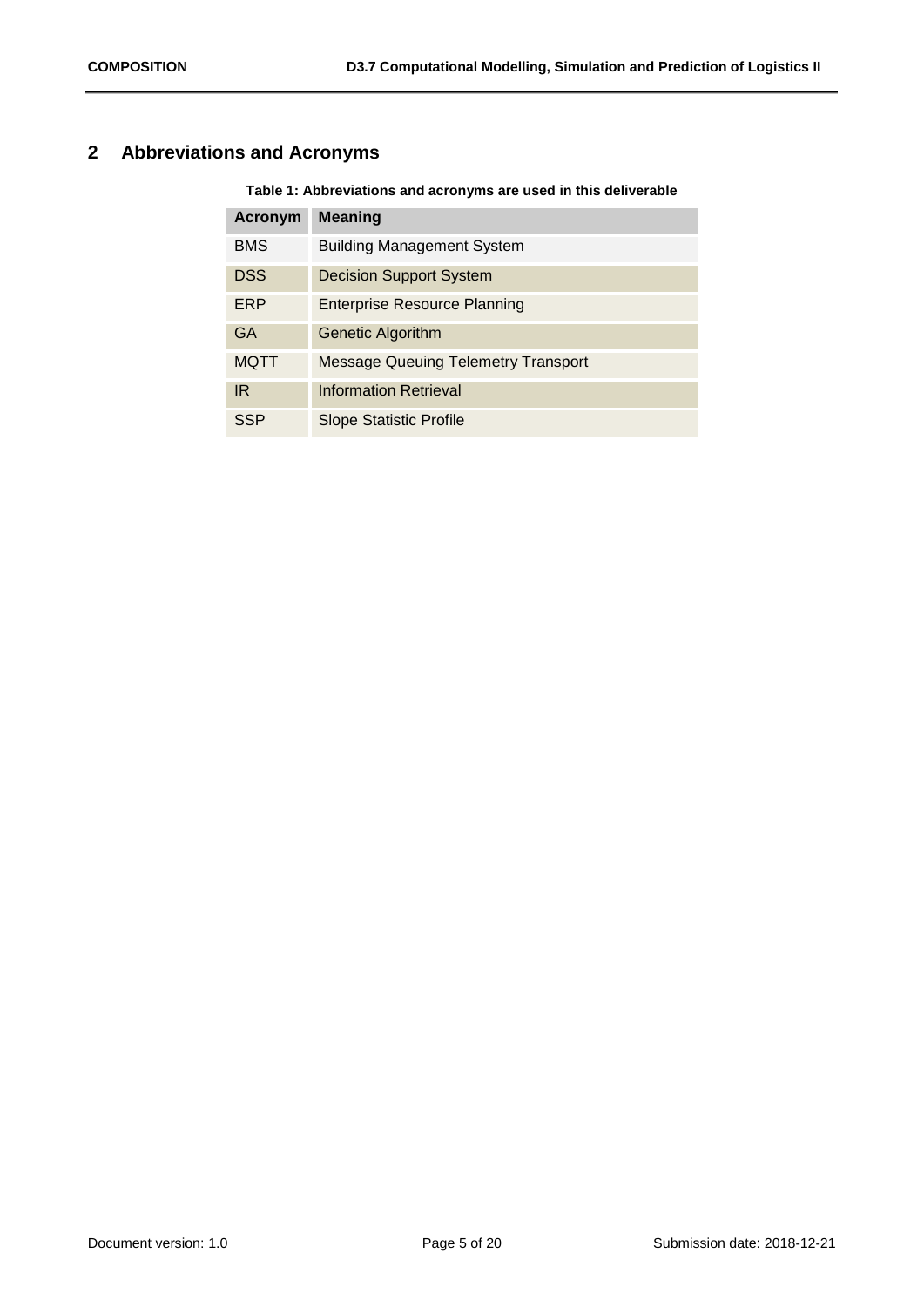## <span id="page-4-1"></span><span id="page-4-0"></span>**2 Abbreviations and Acronyms**

**Table 1: Abbreviations and acronyms are used in this deliverable**

| <b>Acronym</b> | <b>Meaning</b>                             |
|----------------|--------------------------------------------|
| <b>BMS</b>     | <b>Building Management System</b>          |
| <b>DSS</b>     | <b>Decision Support System</b>             |
| ERP            | <b>Enterprise Resource Planning</b>        |
| GA             | <b>Genetic Algorithm</b>                   |
| MQTT           | <b>Message Queuing Telemetry Transport</b> |
| <b>IR</b>      | <b>Information Retrieval</b>               |
| SSP            | Slope Statistic Profile                    |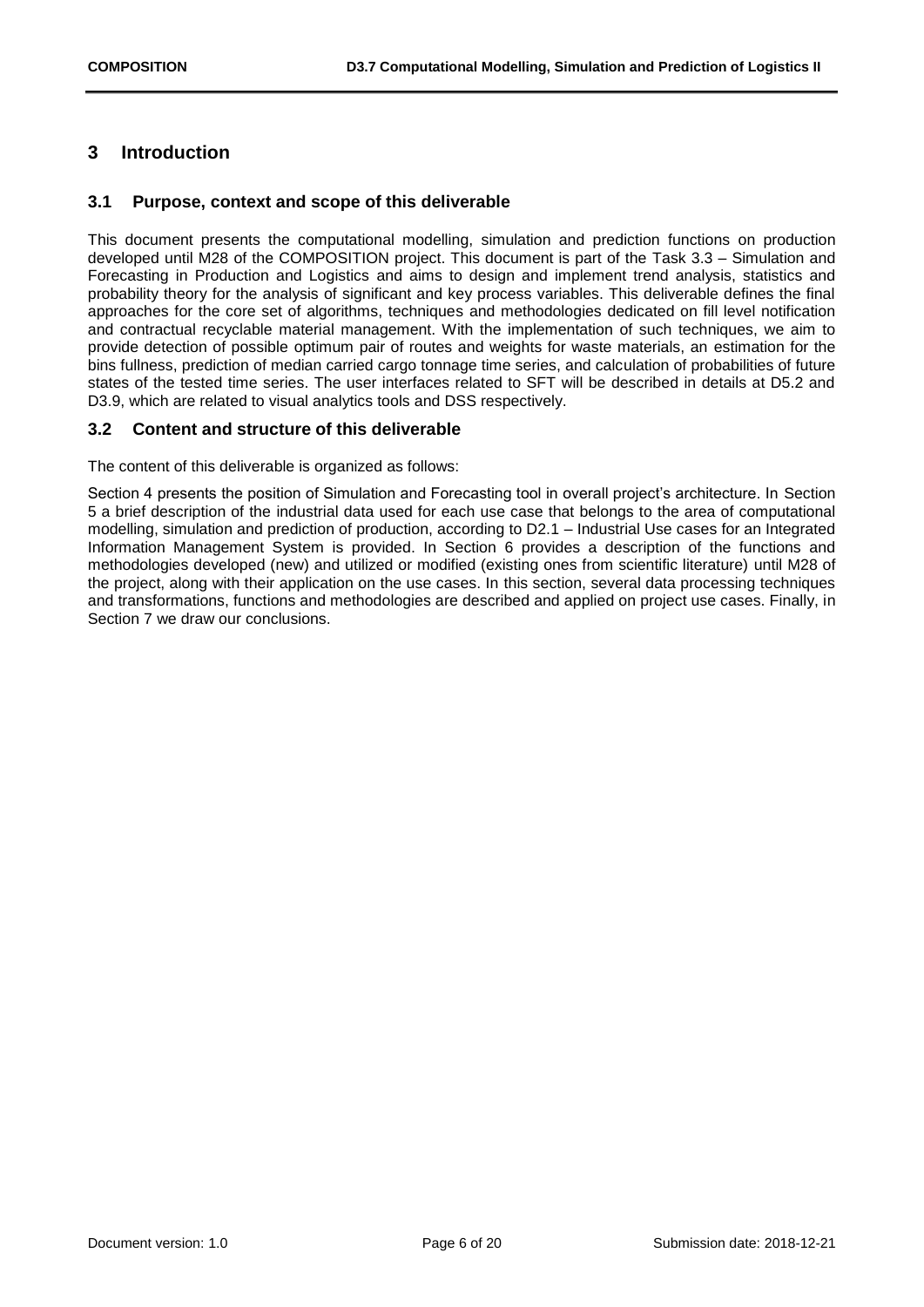## <span id="page-5-0"></span>**3 Introduction**

#### <span id="page-5-1"></span>**3.1 Purpose, context and scope of this deliverable**

This document presents the computational modelling, simulation and prediction functions on production developed until M28 of the COMPOSITION project. This document is part of the Task 3.3 – Simulation and Forecasting in Production and Logistics and aims to design and implement trend analysis, statistics and probability theory for the analysis of significant and key process variables. This deliverable defines the final approaches for the core set of algorithms, techniques and methodologies dedicated on fill level notification and contractual recyclable material management. With the implementation of such techniques, we aim to provide detection of possible optimum pair of routes and weights for waste materials, an estimation for the bins fullness, prediction of median carried cargo tonnage time series, and calculation of probabilities of future states of the tested time series. The user interfaces related to SFT will be described in details at D5.2 and D3.9, which are related to visual analytics tools and DSS respectively.

#### <span id="page-5-2"></span>**3.2 Content and structure of this deliverable**

The content of this deliverable is organized as follows:

Section 4 presents the position of Simulation and Forecasting tool in overall project's architecture. In Section 5 a brief description of the industrial data used for each use case that belongs to the area of computational modelling, simulation and prediction of production, according to D2.1 – Industrial Use cases for an Integrated Information Management System is provided. In Section 6 provides a description of the functions and methodologies developed (new) and utilized or modified (existing ones from scientific literature) until M28 of the project, along with their application on the use cases. In this section, several data processing techniques and transformations, functions and methodologies are described and applied on project use cases. Finally, in Section 7 we draw our conclusions.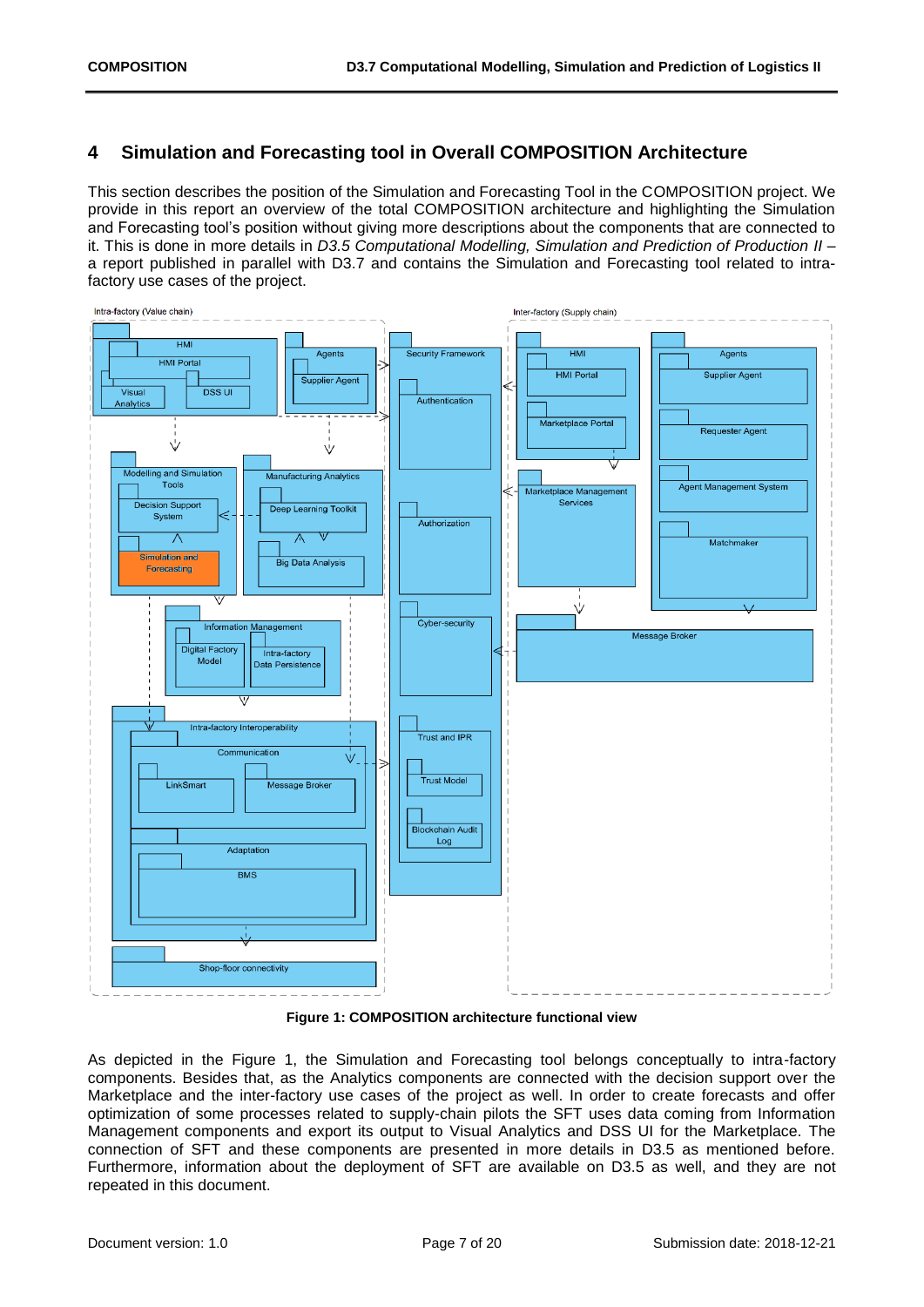## <span id="page-6-0"></span>**4 Simulation and Forecasting tool in Overall COMPOSITION Architecture**

This section describes the position of the Simulation and Forecasting Tool in the COMPOSITION project. We provide in this report an overview of the total COMPOSITION architecture and highlighting the Simulation and Forecasting tool's position without giving more descriptions about the components that are connected to it. This is done in more details in *D3.5 Computational Modelling, Simulation and Prediction of Production II* – a report published in parallel with D3.7 and contains the Simulation and Forecasting tool related to intrafactory use cases of the project.



**Figure 1: COMPOSITION architecture functional view**

<span id="page-6-1"></span>As depicted in the Figure 1, the Simulation and Forecasting tool belongs conceptually to intra-factory components. Besides that, as the Analytics components are connected with the decision support over the Marketplace and the inter-factory use cases of the project as well. In order to create forecasts and offer optimization of some processes related to supply-chain pilots the SFT uses data coming from Information Management components and export its output to Visual Analytics and DSS UI for the Marketplace. The connection of SFT and these components are presented in more details in D3.5 as mentioned before. Furthermore, information about the deployment of SFT are available on D3.5 as well, and they are not repeated in this document.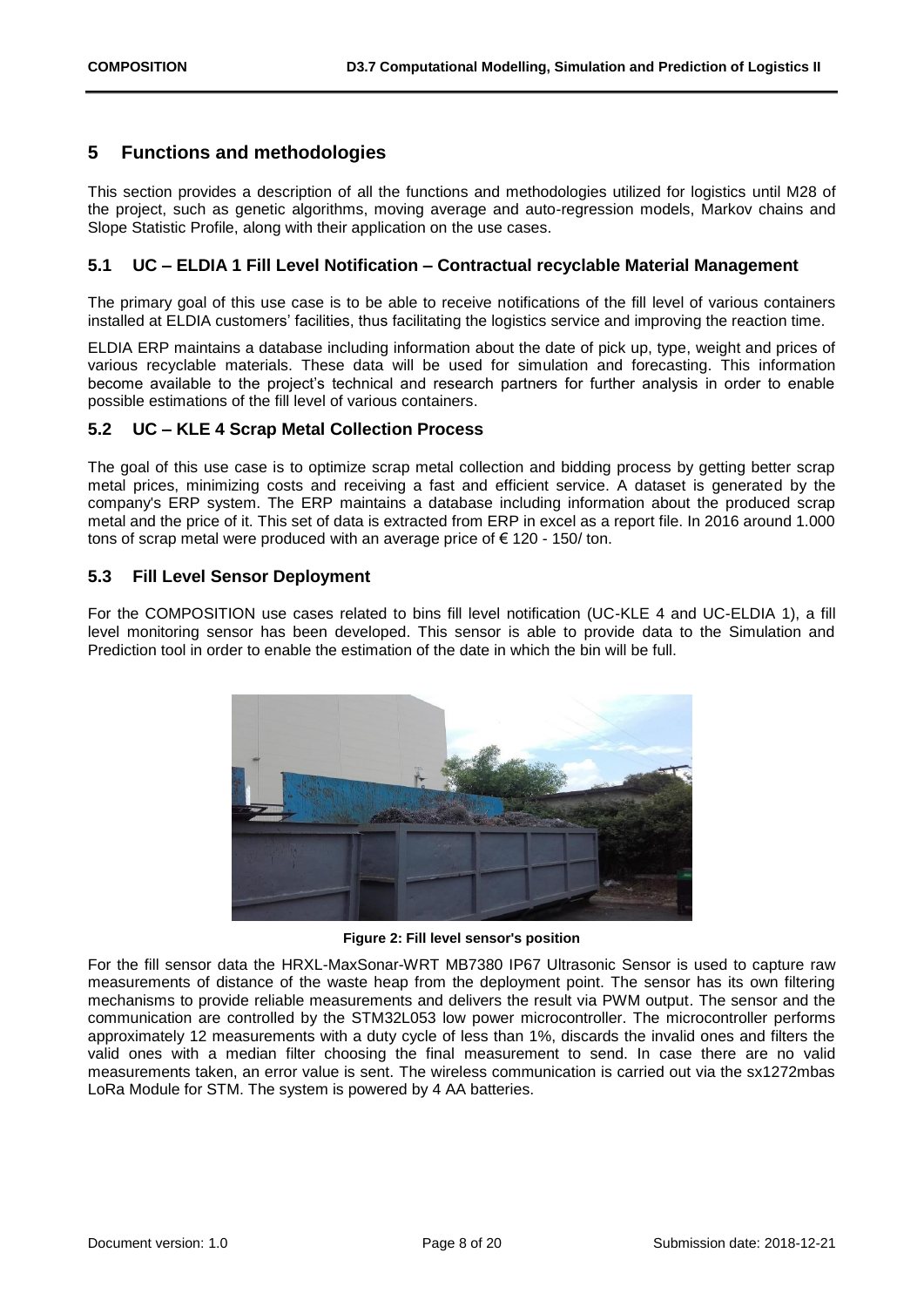### <span id="page-7-0"></span>**5 Functions and methodologies**

This section provides a description of all the functions and methodologies utilized for logistics until M28 of the project, such as genetic algorithms, moving average and auto-regression models, Markov chains and Slope Statistic Profile, along with their application on the use cases.

#### <span id="page-7-1"></span>**5.1 UC – ELDIA 1 Fill Level Notification – Contractual recyclable Material Management**

The primary goal of this use case is to be able to receive notifications of the fill level of various containers installed at ELDIA customers' facilities, thus facilitating the logistics service and improving the reaction time.

ELDIA ERP maintains a database including information about the date of pick up, type, weight and prices of various recyclable materials. These data will be used for simulation and forecasting. This information become available to the project's technical and research partners for further analysis in order to enable possible estimations of the fill level of various containers.

#### <span id="page-7-2"></span>**5.2 UC – KLE 4 Scrap Metal Collection Process**

The goal of this use case is to optimize scrap metal collection and bidding process by getting better scrap metal prices, minimizing costs and receiving a fast and efficient service. A dataset is generated by the company's ERP system. The ERP maintains a database including information about the produced scrap metal and the price of it. This set of data is extracted from ERP in excel as a report file. In 2016 around 1.000 tons of scrap metal were produced with an average price of  $\epsilon$  120 - 150/ ton.

#### <span id="page-7-3"></span>**5.3 Fill Level Sensor Deployment**

For the COMPOSITION use cases related to bins fill level notification (UC-KLE 4 and UC-ELDIA 1), a fill level monitoring sensor has been developed. This sensor is able to provide data to the Simulation and Prediction tool in order to enable the estimation of the date in which the bin will be full.



**Figure 2: Fill level sensor's position**

<span id="page-7-4"></span>For the fill sensor data the HRXL-MaxSonar-WRT MB7380 IP67 Ultrasonic Sensor is used to capture raw measurements of distance of the waste heap from the deployment point. The sensor has its own filtering mechanisms to provide reliable measurements and delivers the result via PWM output. The sensor and the communication are controlled by the STM32L053 low power microcontroller. The microcontroller performs approximately 12 measurements with a duty cycle of less than 1%, discards the invalid ones and filters the valid ones with a median filter choosing the final measurement to send. In case there are no valid measurements taken, an error value is sent. The wireless communication is carried out via the sx1272mbas LoRa Module for STM. The system is powered by 4 AA batteries.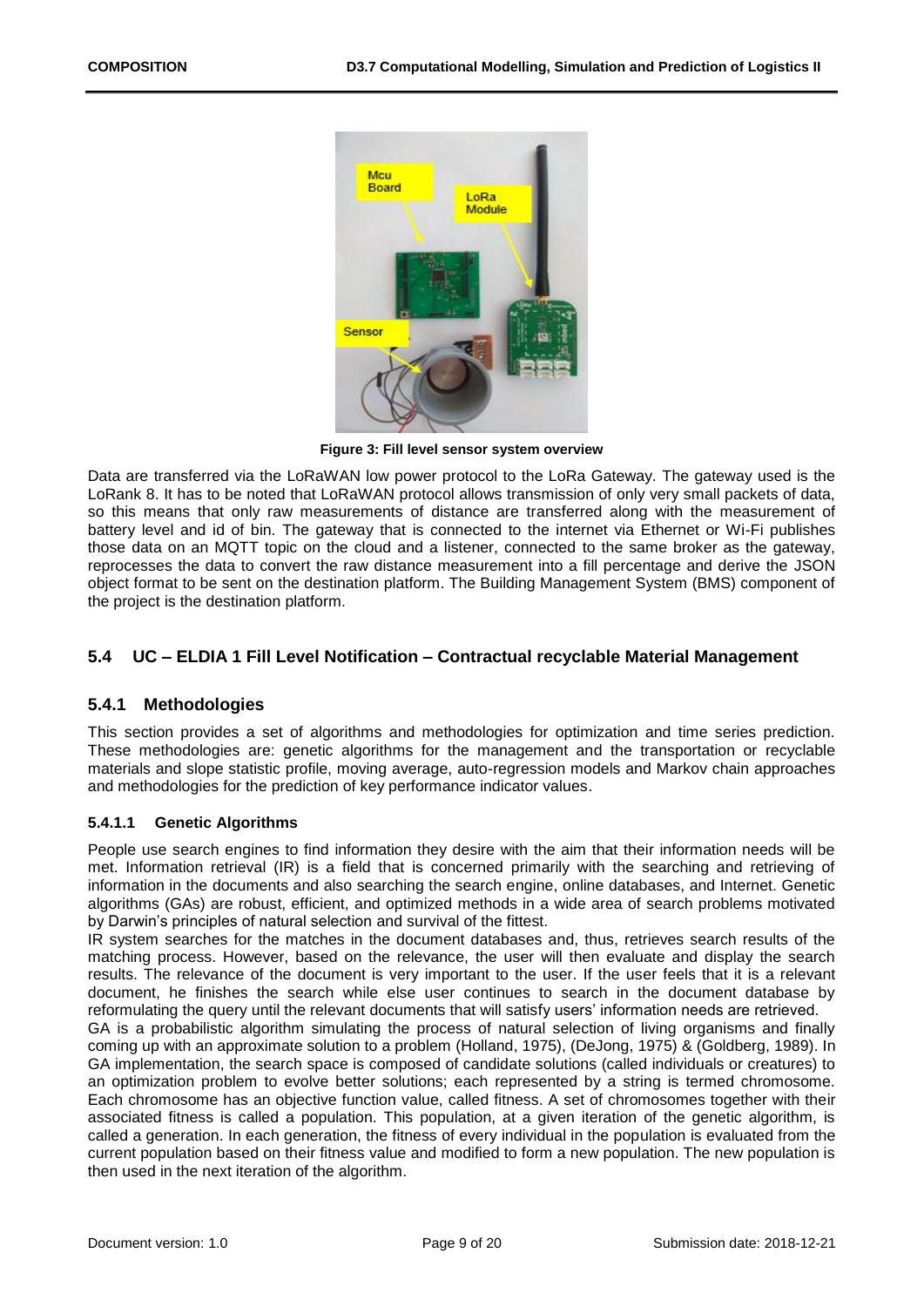

**Figure 3: Fill level sensor system overview**

<span id="page-8-2"></span>Data are transferred via the LoRaWAN low power protocol to the LoRa Gateway. The gateway used is the LoRank 8. It has to be noted that LoRaWAN protocol allows transmission of only very small packets of data, so this means that only raw measurements of distance are transferred along with the measurement of battery level and id of bin. The gateway that is connected to the internet via Ethernet or Wi-Fi publishes those data on an MQTT topic on the cloud and a listener, connected to the same broker as the gateway, reprocesses the data to convert the raw distance measurement into a fill percentage and derive the JSON object format to be sent on the destination platform. The Building Management System (BMS) component of the project is the destination platform.

#### <span id="page-8-0"></span>**5.4 UC – ELDIA 1 Fill Level Notification – Contractual recyclable Material Management**

#### <span id="page-8-1"></span>**5.4.1 Methodologies**

This section provides a set of algorithms and methodologies for optimization and time series prediction. These methodologies are: genetic algorithms for the management and the transportation or recyclable materials and slope statistic profile, moving average, auto-regression models and Markov chain approaches and methodologies for the prediction of key performance indicator values.

#### **5.4.1.1 Genetic Algorithms**

People use search engines to find information they desire with the aim that their information needs will be met. Information retrieval (IR) is a field that is concerned primarily with the searching and retrieving of information in the documents and also searching the search engine, online databases, and Internet. Genetic algorithms (GAs) are robust, efficient, and optimized methods in a wide area of search problems motivated by Darwin's principles of natural selection and survival of the fittest.

IR system searches for the matches in the document databases and, thus, retrieves search results of the matching process. However, based on the relevance, the user will then evaluate and display the search results. The relevance of the document is very important to the user. If the user feels that it is a relevant document, he finishes the search while else user continues to search in the document database by reformulating the query until the relevant documents that will satisfy users' information needs are retrieved.

GA is a probabilistic algorithm simulating the process of natural selection of living organisms and finally coming up with an approximate solution to a problem (Holland, 1975), (DeJong, 1975) & (Goldberg, 1989). In GA implementation, the search space is composed of candidate solutions (called individuals or creatures) to an optimization problem to evolve better solutions; each represented by a string is termed chromosome. Each chromosome has an objective function value, called fitness. A set of chromosomes together with their associated fitness is called a population. This population, at a given iteration of the genetic algorithm, is called a generation. In each generation, the fitness of every individual in the population is evaluated from the current population based on their fitness value and modified to form a new population. The new population is then used in the next iteration of the algorithm.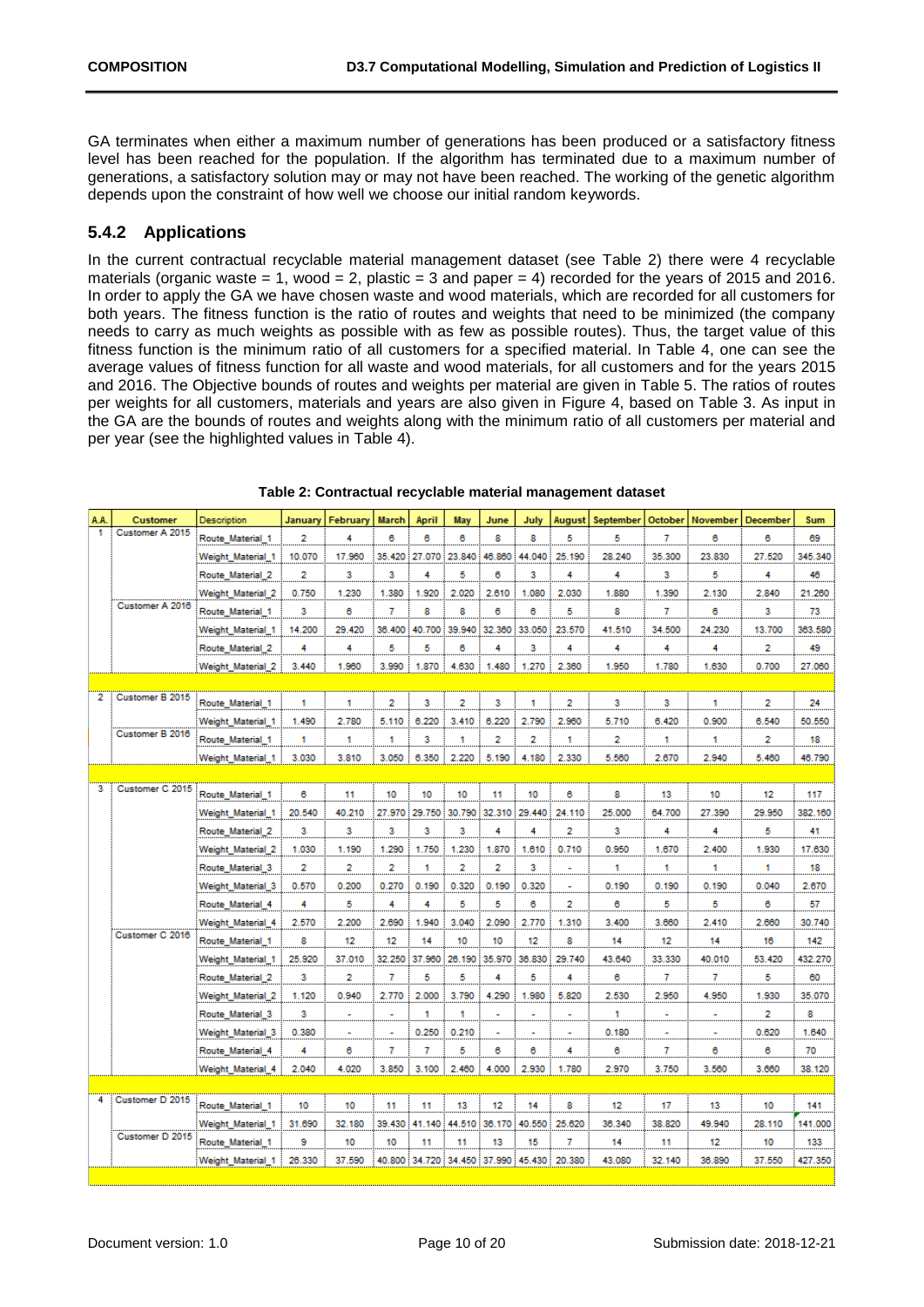GA terminates when either a maximum number of generations has been produced or a satisfactory fitness level has been reached for the population. If the algorithm has terminated due to a maximum number of generations, a satisfactory solution may or may not have been reached. The working of the genetic algorithm depends upon the constraint of how well we choose our initial random keywords.

### <span id="page-9-0"></span>**5.4.2 Applications**

In the current contractual recyclable material management dataset (see [Table 2\)](#page-9-1) there were 4 recyclable materials (organic waste  $= 1$ , wood  $= 2$ , plastic  $= 3$  and paper  $= 4$ ) recorded for the years of 2015 and 2016. In order to apply the GA we have chosen waste and wood materials, which are recorded for all customers for both years. The fitness function is the ratio of routes and weights that need to be minimized (the company needs to carry as much weights as possible with as few as possible routes). Thus, the target value of this fitness function is the minimum ratio of all customers for a specified material. In Table 4, one can see the average values of fitness function for all waste and wood materials, for all customers and for the years 2015 and 2016. The Objective bounds of routes and weights per material are given in Table 5. The ratios of routes per weights for all customers, materials and years are also given in [Figure 4,](#page-11-2) based on [Table 3.](#page-10-0) As input in the GA are the bounds of routes and weights along with the minimum ratio of all customers per material and per year (see the highlighted values in Table 4).

<span id="page-9-1"></span>

| A.A. | <b>Customer</b> | <b>Description</b> | January | February | <b>March</b>   | April         | May           | June           | July                                      | August                   | September      | October | November | <b>December</b> | Sum     |
|------|-----------------|--------------------|---------|----------|----------------|---------------|---------------|----------------|-------------------------------------------|--------------------------|----------------|---------|----------|-----------------|---------|
| 1    | Customer A 2015 | Route Material 1   | 2       | 4        | 6              | 6             | 6             | 8              | 8                                         | 5                        | 5              | 7       | 6        | 6               | 69      |
|      |                 | Weight Material 1  | 10.070  | 17.960   | 35.420         |               | 27.070 23.840 | 46.860         | 44.040                                    | 25.190                   | 28.240         | 35.300  | 23.830   | 27.520          | 345.340 |
|      |                 | Route_Material_2   | 2       | 3        | 3              | 4             | 5             | 6              | 3                                         | 4                        | 4              | 3       | 5        | 4               | 46      |
|      |                 | Weight Material 2  | 0.750   | 1.230    | 1.380          | 1.920         | 2.020         | 2.610          | 1.080                                     | 2.030                    | 1.880          | 1.390   | 2.130    | 2.840           | 21.260  |
|      | Customer A 2016 | Route Material 1   | 3       | 6        | 7              | 8             | 8             | 6              | 6                                         | 5                        | 8              | 7       | 6        | 3               | 73      |
|      |                 | Weight Material 1  | 14.200  | 29.420   | 36.400         | 40.700        | 39.940        | 32.360         | 33.050                                    | 23.570                   | 41.510         | 34.500  | 24.230   | 13.700          | 363.580 |
|      |                 | Route Material 2   | 4       | 4        | 5              | 5             | 6             | 4              | 3                                         | 4                        | 4              | 4       | 4        | 2               | 49      |
|      |                 | Weight Material 2  | 3.440   | 1.960    | 3.990          | 1.870         | 4.630         | 1.480          | 1.270                                     | 2.360                    | 1.950          | 1.780   | 1.630    | 0.700           | 27.060  |
|      |                 |                    |         |          |                |               |               |                |                                           |                          |                |         |          |                 |         |
| 2    | Customer B 2015 | Route Material 1   | 1       | 1        | $\overline{2}$ | 3             | 2             | з              | 1                                         | 2                        | з              | з       | 1        | 2               | 24      |
|      |                 | Weight Material 1  | 1.490   | 2.780    | 5.110          | 6.220         | 3.410         | 6.220          | 2.790                                     | 2.960                    | 5.710          | 6.420   | 0.900    | 6.540           | 50.550  |
|      | Customer B 2016 | Route Material 1   | 1       | 1        | 1              | 3             | 1             | $\overline{2}$ | $\overline{2}$                            | 1                        | $\overline{2}$ | 1       | 1        | 2               | 18      |
|      |                 | Weight Material 1  | 3.030   | 3.810    | 3.050          | 6.350         | 2.220         | 5.190          | 4.180                                     | 2.330                    | 5.560          | 2.670   | 2.940    | 5.460           | 46.790  |
|      |                 |                    |         |          |                |               |               |                |                                           |                          |                |         |          |                 |         |
| з    | Customer C 2015 | Route Material 1   | 6       | 11       | 10             | 10            | 10            | 11             | 10                                        | 6                        | 8              | 13      | 10       | 12              | 117     |
|      |                 | Weight Material 1  | 20.540  | 40.210   |                | 27.970 29.750 |               |                | 30.790 32.310 29.440                      | 24.110                   | 25.000         | 64.700  | 27.390   | 29.950          | 382.160 |
|      |                 | Route Material 2   | 3       | 3        | 3              | 3             | 3             | 4              | 4                                         | $\overline{2}$           | 3              | 4       | 4        | 5               | 41      |
|      |                 | Weight Material 2  | 1.030   | 1.190    | 1.290          | 1.750         | 1.230         | 1.870          | 1.610                                     | 0.710                    | 0.950          | 1.670   | 2.400    | 1.930           | 17.630  |
|      |                 | Route_Material_3   | 2       | 2        | 2              | 1             | 2             | 2              | 3                                         | ٠                        | 1              | 1       | 1        | 1               | 18      |
|      |                 | Weight Material 3  | 0.570   | 0.200    | 0.270          | 0.190         | 0.320         | 0.190          | 0.320                                     | $\overline{\phantom{a}}$ | 0.190          | 0.190   | 0.190    | 0.040           | 2.670   |
|      |                 | Route Material 4   | 4       | 5        | 4              | 4             | 5             | 5              | 6                                         | 2                        | 6              | 5       | 5        | 6               | 57      |
|      |                 | Weight Material 4  | 2.570   | 2.200    | 2.690          | 1.940         | 3.040         | 2.090          | 2.770                                     | 1.310                    | 3.400          | 3.660   | 2.410    | 2.660           | 30.740  |
|      | Customer C 2016 | Route Material 1   | 8       | 12       | 12             | 14            | 10            | 10             | 12                                        | 8                        | 14             | 12      | 14       | 16              | 142     |
|      |                 | Weight Material 1  | 25.920  | 37.010   | 32.250         | 37.960        | 26.190        | 35.970         | 36.830                                    | 29.740                   | 43.640         | 33.330  | 40.010   | 53.420          | 432.270 |
|      |                 | Route Material 2   | 3       | 2        | 7              | 5             | 5             | 4              | 5                                         | 4                        | 6              | 7       | 7        | 5               | 60      |
|      |                 | Weight Material 2  | 1.120   | 0.940    | 2.770          | 2.000         | 3.790         | 4.290          | 1.980                                     | 5.820                    | 2.530          | 2.950   | 4.950    | 1.930           | 35.070  |
|      |                 | Route_Material_3   | 3       | ۰<br>.   | ÷              | 1             | 1             |                | ٠                                         | ۰                        | 1              | ٠       | ä,       | 2               | 8       |
|      |                 | Weight Material 3  | 0.380   | Ĵ.       |                | 0.250         | 0.210         |                |                                           |                          | 0.180          |         |          | 0.620           | 1.640   |
|      |                 | Route Material 4   | 4       | 6        | 7              | 7             | 5             | 6              | 6                                         | 4                        | 6              | 7       | 6        | 6               | 70      |
|      |                 | Weight Material 4  | 2.040   | 4.020    | 3.850          | 3.100         | 2.460         | 4.000          | 2.930                                     | 1.780                    | 2.970          | 3.750   | 3.560    | 3.660           | 38.120  |
|      |                 |                    |         |          |                |               |               |                |                                           |                          |                |         |          |                 |         |
| 4    | Customer D 2015 | Route Material 1   | 10      | 10       | 11             | 11            | 13            | 12             | 14                                        | 8                        | 12             | 17      | 13       | 10              | 141     |
|      |                 | Weight Material 1  | 31.690  | 32.180   |                | 39.430 41.140 |               | 44.510 36.170  | 40.550                                    | 25.620                   | 36.340         | 38.820  | 49.940   | 28.110          | 141.000 |
|      | Customer D 2015 | Route_Material_1   | 9       | 10       | 10             | 11            | 11            | 13             | 15                                        | 7                        | 14             | 11      | 12       | 10              | 133     |
|      |                 | Weight Material 1  | 26,330  | 37.590   |                |               |               |                | 40.800 34.720 34.450 37.990 45.430 20.380 |                          | 43.080         | 32.140  | 36.890   | 37.550          | 427.350 |

**Table 2: Contractual recyclable material management dataset**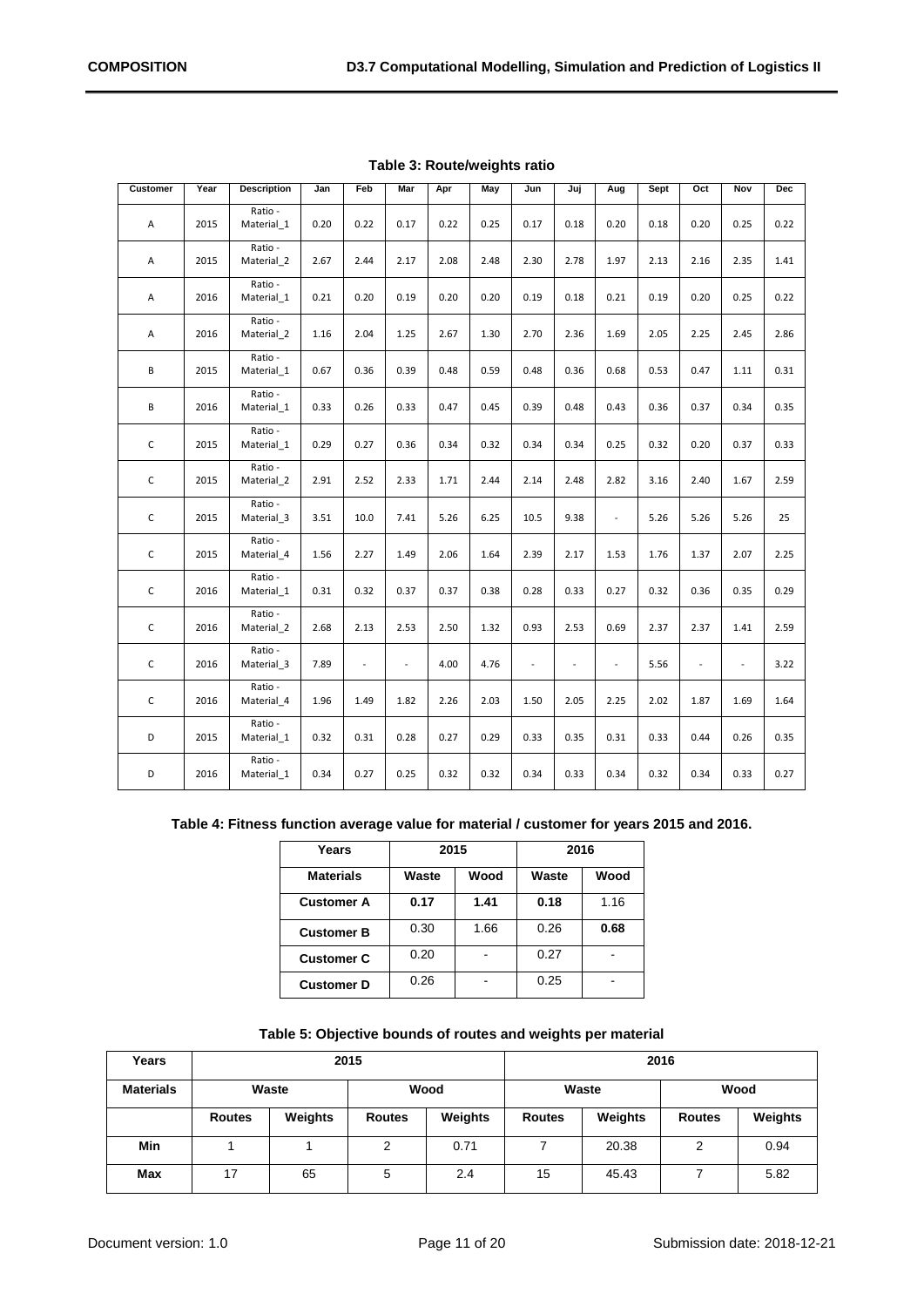<span id="page-10-0"></span>

| <b>Customer</b> | Year | <b>Description</b>    | Jan  | Feb  | Mar            | Apr  | May  | Jun            | Juj            | Aug                      | Sept | Oct            | Nov                      | <b>Dec</b> |
|-----------------|------|-----------------------|------|------|----------------|------|------|----------------|----------------|--------------------------|------|----------------|--------------------------|------------|
| A               | 2015 | Ratio -<br>Material 1 | 0.20 | 0.22 | 0.17           | 0.22 | 0.25 | 0.17           | 0.18           | 0.20                     | 0.18 | 0.20           | 0.25                     | 0.22       |
| Α               | 2015 | Ratio -<br>Material_2 | 2.67 | 2.44 | 2.17           | 2.08 | 2.48 | 2.30           | 2.78           | 1.97                     | 2.13 | 2.16           | 2.35                     | 1.41       |
| Α               | 2016 | Ratio -<br>Material 1 | 0.21 | 0.20 | 0.19           | 0.20 | 0.20 | 0.19           | 0.18           | 0.21                     | 0.19 | 0.20           | 0.25                     | 0.22       |
| A               | 2016 | Ratio -<br>Material_2 | 1.16 | 2.04 | 1.25           | 2.67 | 1.30 | 2.70           | 2.36           | 1.69                     | 2.05 | 2.25           | 2.45                     | 2.86       |
| B               | 2015 | Ratio -<br>Material 1 | 0.67 | 0.36 | 0.39           | 0.48 | 0.59 | 0.48           | 0.36           | 0.68                     | 0.53 | 0.47           | 1.11                     | 0.31       |
| В               | 2016 | Ratio -<br>Material_1 | 0.33 | 0.26 | 0.33           | 0.47 | 0.45 | 0.39           | 0.48           | 0.43                     | 0.36 | 0.37           | 0.34                     | 0.35       |
| $\mathsf C$     | 2015 | Ratio -<br>Material 1 | 0.29 | 0.27 | 0.36           | 0.34 | 0.32 | 0.34           | 0.34           | 0.25                     | 0.32 | 0.20           | 0.37                     | 0.33       |
| $\mathsf C$     | 2015 | Ratio -<br>Material_2 | 2.91 | 2.52 | 2.33           | 1.71 | 2.44 | 2.14           | 2.48           | 2.82                     | 3.16 | 2.40           | 1.67                     | 2.59       |
| $\mathsf C$     | 2015 | Ratio -<br>Material 3 | 3.51 | 10.0 | 7.41           | 5.26 | 6.25 | 10.5           | 9.38           | $\overline{\phantom{a}}$ | 5.26 | 5.26           | 5.26                     | 25         |
| $\mathsf C$     | 2015 | Ratio -<br>Material 4 | 1.56 | 2.27 | 1.49           | 2.06 | 1.64 | 2.39           | 2.17           | 1.53                     | 1.76 | 1.37           | 2.07                     | 2.25       |
| $\mathsf C$     | 2016 | Ratio -<br>Material 1 | 0.31 | 0.32 | 0.37           | 0.37 | 0.38 | 0.28           | 0.33           | 0.27                     | 0.32 | 0.36           | 0.35                     | 0.29       |
| $\mathsf C$     | 2016 | Ratio -<br>Material_2 | 2.68 | 2.13 | 2.53           | 2.50 | 1.32 | 0.93           | 2.53           | 0.69                     | 2.37 | 2.37           | 1.41                     | 2.59       |
| $\mathsf{C}$    | 2016 | Ratio -<br>Material 3 | 7.89 | ÷.   | $\overline{a}$ | 4.00 | 4.76 | $\overline{a}$ | $\overline{a}$ | $\overline{\phantom{a}}$ | 5.56 | $\overline{a}$ | $\overline{\phantom{a}}$ | 3.22       |
| $\mathsf{C}$    | 2016 | Ratio -<br>Material 4 | 1.96 | 1.49 | 1.82           | 2.26 | 2.03 | 1.50           | 2.05           | 2.25                     | 2.02 | 1.87           | 1.69                     | 1.64       |
| D               | 2015 | Ratio -<br>Material_1 | 0.32 | 0.31 | 0.28           | 0.27 | 0.29 | 0.33           | 0.35           | 0.31                     | 0.33 | 0.44           | 0.26                     | 0.35       |
| D               | 2016 | Ratio -<br>Material 1 | 0.34 | 0.27 | 0.25           | 0.32 | 0.32 | 0.34           | 0.33           | 0.34                     | 0.32 | 0.34           | 0.33                     | 0.27       |

**Table 3: Route/weights ratio**

#### <span id="page-10-1"></span>**Table 4: Fitness function average value for material / customer for years 2015 and 2016.**

| Years             | 2015  |      | 2016  |      |  |  |
|-------------------|-------|------|-------|------|--|--|
| <b>Materials</b>  | Waste | Wood | Waste | Wood |  |  |
| <b>Customer A</b> | 0.17  | 1.41 | 0.18  | 1.16 |  |  |
| <b>Customer B</b> | 0.30  | 1.66 | 0.26  | 0.68 |  |  |
| <b>Customer C</b> | 0.20  |      | 0.27  |      |  |  |
| <b>Customer D</b> | 0.26  |      | 0.25  |      |  |  |

|  |  | Table 5: Objective bounds of routes and weights per material |  |  |  |  |  |
|--|--|--------------------------------------------------------------|--|--|--|--|--|
|--|--|--------------------------------------------------------------|--|--|--|--|--|

<span id="page-10-2"></span>

| Years                    |    |               | 2015    |               | 2016    |               |         |      |  |
|--------------------------|----|---------------|---------|---------------|---------|---------------|---------|------|--|
| <b>Materials</b>         |    | Waste         |         | Wood          |         | Waste         | Wood    |      |  |
| Weights<br><b>Routes</b> |    | <b>Routes</b> | Weights | <b>Routes</b> | Weights | <b>Routes</b> | Weights |      |  |
| Min                      |    |               | ົ       | 0.71          |         | 20.38         | ົ       | 0.94 |  |
| <b>Max</b>               | 17 | 65            | 5       | 2.4           | 15      | 45.43         |         | 5.82 |  |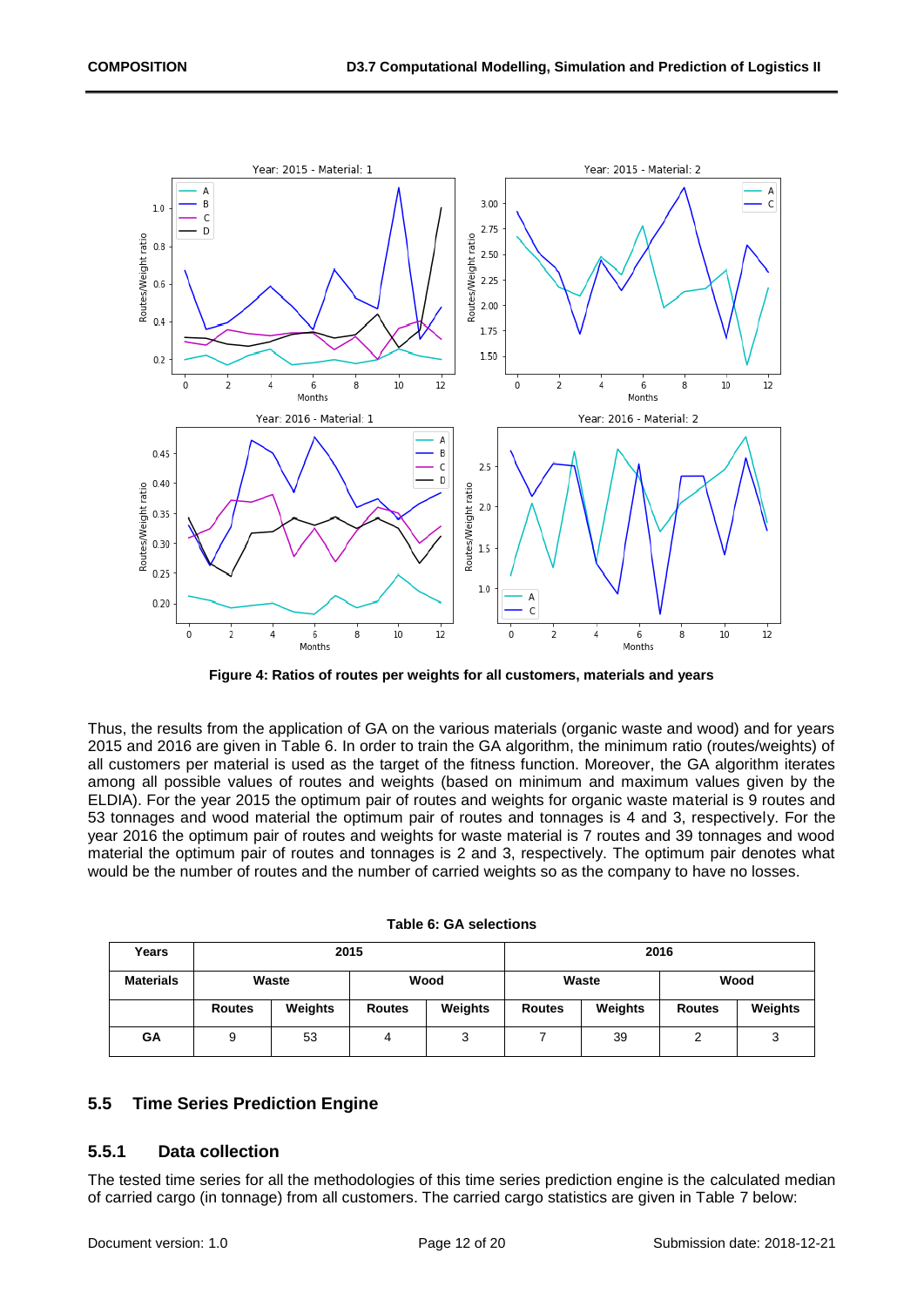

**Figure 4: Ratios of routes per weights for all customers, materials and years**

<span id="page-11-2"></span>Thus, the results from the application of GA on the various materials (organic waste and wood) and for years 2015 and 2016 are given in Table 6. In order to train the GA algorithm, the minimum ratio (routes/weights) of all customers per material is used as the target of the fitness function. Moreover, the GA algorithm iterates among all possible values of routes and weights (based on minimum and maximum values given by the ELDIA). For the year 2015 the optimum pair of routes and weights for organic waste material is 9 routes and 53 tonnages and wood material the optimum pair of routes and tonnages is 4 and 3, respectively. For the year 2016 the optimum pair of routes and weights for waste material is 7 routes and 39 tonnages and wood material the optimum pair of routes and tonnages is 2 and 3, respectively. The optimum pair denotes what would be the number of routes and the number of carried weights so as the company to have no losses.

<span id="page-11-3"></span>

| Years            |               | 2015    |               |         | 2016          |         |               |         |  |  |
|------------------|---------------|---------|---------------|---------|---------------|---------|---------------|---------|--|--|
| <b>Materials</b> |               | Waste   |               | Wood    |               | Waste   | Wood          |         |  |  |
|                  | <b>Routes</b> | Weights | <b>Routes</b> | Weights | <b>Routes</b> | Weights | <b>Routes</b> | Weights |  |  |
| GΑ               | 9             | 53      | 4             | ◠<br>رب |               | 39      | ົ             | 3       |  |  |

#### <span id="page-11-0"></span>**5.5 Time Series Prediction Engine**

#### <span id="page-11-1"></span>**5.5.1 Data collection**

The tested time series for all the methodologies of this time series prediction engine is the calculated median of carried cargo (in tonnage) from all customers. The carried cargo statistics are given in Table 7 below: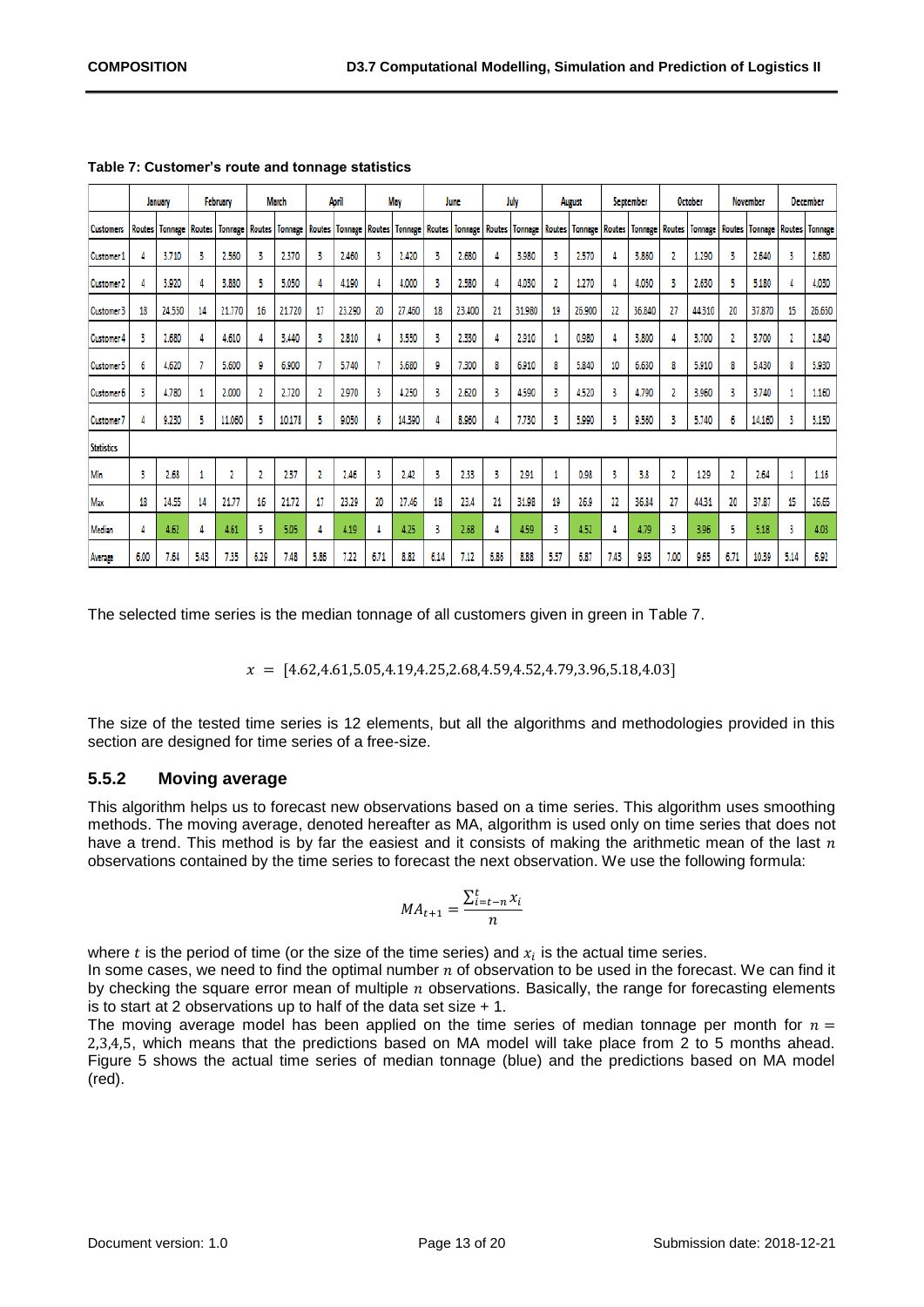|                   | January       |                | February      |                | <b>March</b>  |                | April  |                | May           |                | June   |                | July   |                       | August |                | September     |                | <b>October</b> |                | <b>November</b> |                | <b>December</b> |                |
|-------------------|---------------|----------------|---------------|----------------|---------------|----------------|--------|----------------|---------------|----------------|--------|----------------|--------|-----------------------|--------|----------------|---------------|----------------|----------------|----------------|-----------------|----------------|-----------------|----------------|
| <b>Customers</b>  | <b>Routes</b> | <b>Tonnege</b> | <b>Routes</b> | <b>Tonnage</b> | <b>Routes</b> | <b>Tonnage</b> | Routes | <b>Tonnage</b> | <b>Routes</b> | <b>Tonnage</b> | Routes | <b>Tonnage</b> | Routes | <b>Tonnage Routes</b> |        | <b>Tonnage</b> | <b>Routes</b> | <b>Tonnage</b> | <b>Routes</b>  | <b>Tonnage</b> | Routes          | <b>Tonnage</b> | <b>Routes</b>   | <b>Tonnage</b> |
| <b>Customer</b> : |               | 3.710          | з             | 2,560          | 3             | 2.370          | 3      | 2.460          | з             | 2,420          | 3      | 2,680          |        | 3,980                 |        | 2.570          |               | 3,860          | 2              | 1.290          | 3               | 2,640          | 3               | 2.680          |
| <b>Customer 7</b> |               | 3,920          |               | 3,880          | 5             | 5.050          | 4      | 4.190          |               | 4,000          | 3      | 2,580          |        | 4.030                 |        | 1,270          | Δ             | 4.050          | 3              | 2.630          | 5               | 5.180          | 4               | 4,030          |
| <b>Customer 3</b> | 18            | 24.550         | 14            | 21.770         | 16            | 21.720         | 17     | 23.290         | 20            | 27.460         | 18     | 23,400         | 21     | 31.980                | 19     | 26.900         | 22            | 36,840         | 27             | 44.310         | 20              | 37,870         | 15              | 26.650         |
| <b>Customer 4</b> | ۹             | 2,680          |               | 4.610          | 4             | 3.440          | 3      | 2,810          |               | 3,550          | 3      | 2.330          |        | 2.910                 |        | 0.980          |               | 3,800          | 4              | 3.700          | 2               | 3.700          | 2               | 2,840          |
| <b>Customer 5</b> | 6             | 4,620          |               | 5.600          | 9             | 6.900          |        | 5.740          |               | 5.680          | 9      | 7.300          |        | 6.910                 | 8      | 5,840          | 10            | 6.630          | 8              | 5.910          | 8               | 5,430          | 8               | 5,930          |
| <b>Customer 6</b> | ٩             | 4.780          |               | 2.000          | 2             | 2.720          | 2      | 2,970          | 3             | 4.250          | 3      | 2.620          |        | 4,590                 | ۹      | 4,520          | 3             | 4.790          | 2              | 3,960          | 3               | 3.740          | 1               | 1.160          |
| <b>Customer</b>   |               | 9.230          |               | 11.060         | 5             | 10.178         | 5      | 9.050          | 6             | 14.390         |        | 8,960          |        | 7.730                 |        | 5,990          | 5             | 9,560          | 3              | 5.740          | 6               | 14.160         | 3               | 5.150          |
| <b>Statistics</b> |               |                |               |                |               |                |        |                |               |                |        |                |        |                       |        |                |               |                |                |                |                 |                |                 |                |
| Min               | 3             | 2.68           |               | 7              | 2             | 2.37           | 2      | 2.46           | 3             | 2.42           | 3      | 233            | ٩      | 2.91                  |        | 0.98           | 3             | 3,8            | 2              | 1.29           | 2               | 2.64           | 1               | 1.16           |
| Max               | 18            | 24.55          | 14            | 21.77          | 16            | 21.72          | 17     | 23.29          | 20            | 27.46          | 18     | 23.4           | 21     | 31.98                 | 19     | 26.9           | 22            | 36.84          | 27             | 44.31          | 20              | 37.87          | 15              | 26.65          |
| Median            |               | 4.62           |               | 4.61           | 5             | 5.05           | 4      | 4.19           |               | 4.25           | 3      | 2.68           |        | 4.59                  | 3      | 4.52           | 4             | 4.79           | з              | 3.96           | 5               | 5.18           | 3               | 4.03           |
| Average           | 6.00          | 7.64           | 5.43          | 7.35           | 6.29          | 7.48           | 5.86   | 7.22           | 6.71          | 8.82           | 6.14   | 7.12           | 6.86   | 8.88                  | 5.57   | 6.87           | 7.43          | 9.93           | 7.00           | 9.65           | 6.71            | 10.39          | 5.14            | 6.92           |

<span id="page-12-1"></span>**Table 7: Customer's route and tonnage statistics** 

The selected time series is the median tonnage of all customers given in green in [Table 7.](#page-12-1)

 $x = [4.62, 4.61, 5.05, 4.19, 4.25, 2.68, 4.59, 4.52, 4.79, 3.96, 5.18, 4.03]$ 

The size of the tested time series is 12 elements, but all the algorithms and methodologies provided in this section are designed for time series of a free-size.

#### <span id="page-12-0"></span>**5.5.2 Moving average**

This algorithm helps us to forecast new observations based on a time series. This algorithm uses smoothing methods. The moving average, denoted hereafter as MA, algorithm is used only on time series that does not have a trend. This method is by far the easiest and it consists of making the arithmetic mean of the last  $n$ observations contained by the time series to forecast the next observation. We use the following formula:

$$
MA_{t+1} = \frac{\sum_{i=t-n}^{t} x_i}{n}
$$

where  $t$  is the period of time (or the size of the time series) and  $x_i$  is the actual time series.

In some cases, we need to find the optimal number  $n$  of observation to be used in the forecast. We can find it by checking the square error mean of multiple  $n$  observations. Basically, the range for forecasting elements is to start at 2 observations up to half of the data set size + 1.

The moving average model has been applied on the time series of median tonnage per month for  $n =$ 2,3,4,5, which means that the predictions based on MA model will take place from 2 to 5 months ahead. [Figure 5](#page-13-1) shows the actual time series of median tonnage (blue) and the predictions based on MA model (red).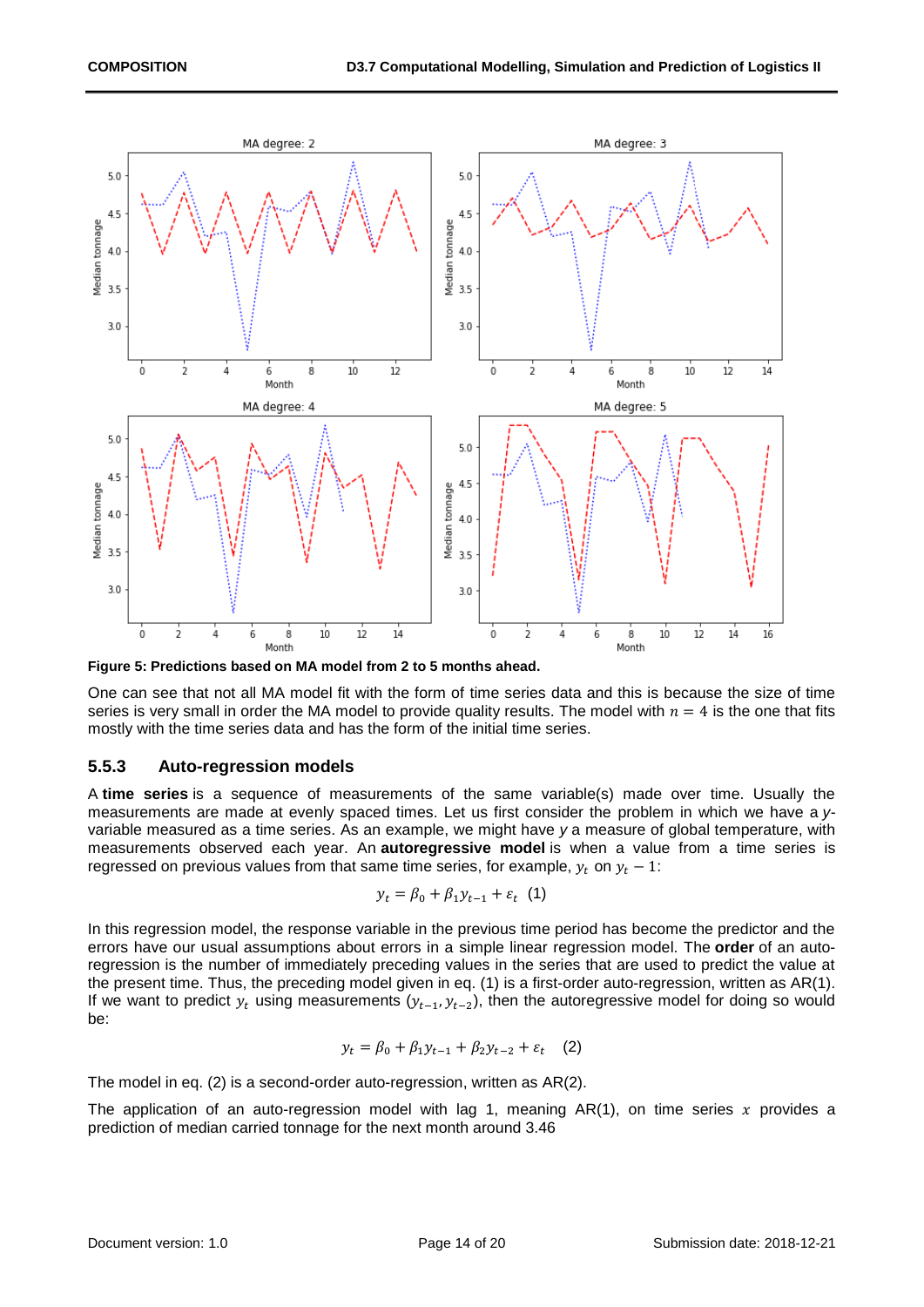

<span id="page-13-1"></span>

One can see that not all MA model fit with the form of time series data and this is because the size of time series is very small in order the MA model to provide quality results. The model with  $n = 4$  is the one that fits mostly with the time series data and has the form of the initial time series.

#### <span id="page-13-0"></span>**5.5.3 Auto-regression models**

A **time series** is a sequence of measurements of the same variable(s) made over time. Usually the measurements are made at evenly spaced times. Let us first consider the problem in which we have a *y*variable measured as a time series. As an example, we might have *y* a measure of global temperature, with measurements observed each year. An **autoregressive model** is when a value from a time series is regressed on previous values from that same time series, for example,  $y_t$  on  $y_t - 1$ :

$$
y_t = \beta_0 + \beta_1 y_{t-1} + \varepsilon_t \quad (1)
$$

In this regression model, the response variable in the previous time period has become the predictor and the errors have our usual assumptions about errors in a simple linear regression model. The **order** of an autoregression is the number of immediately preceding values in the series that are used to predict the value at the present time. Thus, the preceding model given in eq. (1) is a first-order auto-regression, written as AR(1). If we want to predict  $y_t$  using measurements  $(y_{t-1}, y_{t-2})$ , then the autoregressive model for doing so would be:

$$
y_t = \beta_0 + \beta_1 y_{t-1} + \beta_2 y_{t-2} + \varepsilon_t \quad (2)
$$

The model in eq. (2) is a second-order auto-regression, written as AR(2).

The application of an auto-regression model with lag 1, meaning  $AR(1)$ , on time series x provides a prediction of median carried tonnage for the next month around 3.46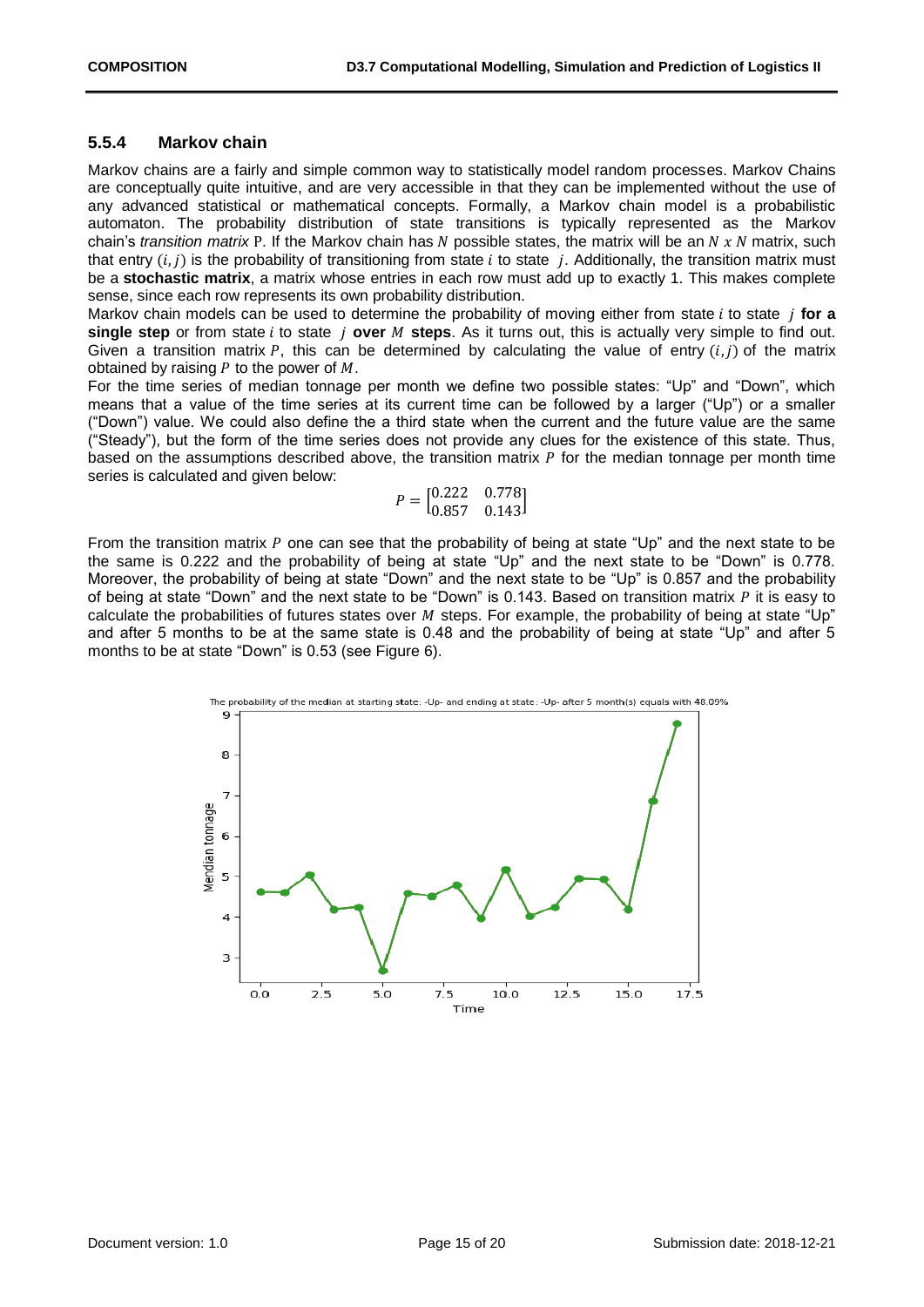#### <span id="page-14-0"></span>**5.5.4 Markov chain**

Markov chains are a fairly and simple common way to statistically model random processes. Markov Chains are conceptually quite intuitive, and are very accessible in that they can be implemented without the use of any advanced statistical or mathematical concepts. Formally, a Markov chain model is a probabilistic automaton. The probability distribution of state transitions is typically represented as the Markov chain's *transition matrix* P. If the Markov chain has N possible states, the matrix will be an N x N matrix, such that entry  $(i, j)$  is the probability of transitioning from state i to state j. Additionally, the transition matrix must be a **stochastic matrix**, a matrix whose entries in each row must add up to exactly 1. This makes complete sense, since each row represents its own probability distribution.

Markov chain models can be used to determine the probability of moving either from state *i* to state *i* for a **single step** or from state *i* to state *i* over *M* steps. As it turns out, this is actually very simple to find out. Given a transition matrix P, this can be determined by calculating the value of entry  $(i, j)$  of the matrix obtained by raising  $P$  to the power of  $M$ .

For the time series of median tonnage per month we define two possible states: "Up" and "Down", which means that a value of the time series at its current time can be followed by a larger ("Up") or a smaller ("Down") value. We could also define the a third state when the current and the future value are the same ("Steady"), but the form of the time series does not provide any clues for the existence of this state. Thus, based on the assumptions described above, the transition matrix  *for the median tonnage per month time* series is calculated and given below:

$$
P = \begin{bmatrix} 0.222 & 0.778 \\ 0.857 & 0.143 \end{bmatrix}
$$

From the transition matrix  $P$  one can see that the probability of being at state "Up" and the next state to be the same is 0.222 and the probability of being at state "Up" and the next state to be "Down" is 0.778. Moreover, the probability of being at state "Down" and the next state to be "Up" is 0.857 and the probability of being at state "Down" and the next state to be "Down" is 0.143. Based on transition matrix  $P$  it is easy to calculate the probabilities of futures states over  $M$  steps. For example, the probability of being at state "Up" and after 5 months to be at the same state is 0.48 and the probability of being at state "Up" and after 5 months to be at state "Down" is 0.53 (see [Figure 6\)](#page-15-1).

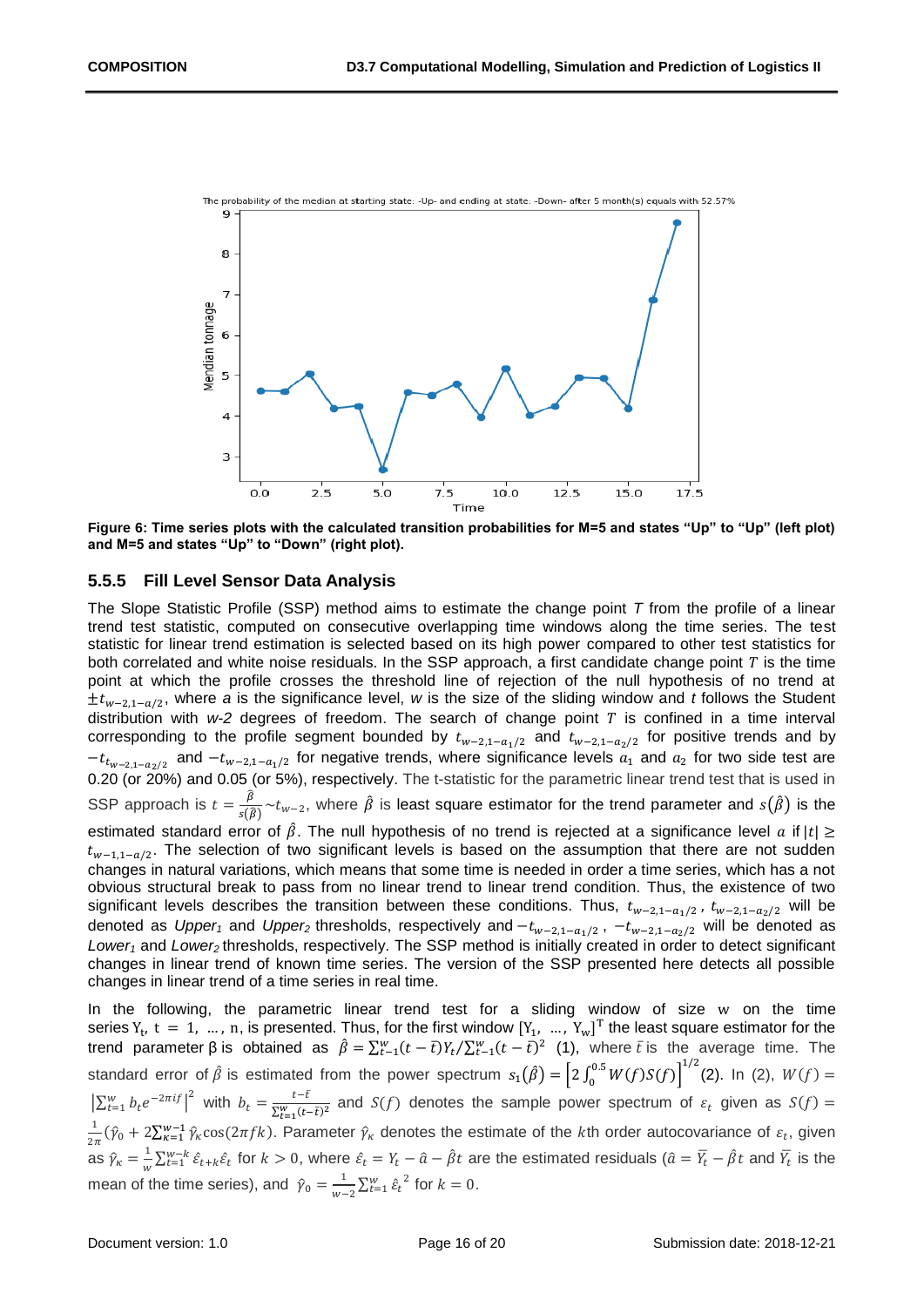

<span id="page-15-1"></span>**Figure 6: Time series plots with the calculated transition probabilities for M=5 and states "Up" to "Up" (left plot) and M=5 and states "Up" to "Down" (right plot).**

#### <span id="page-15-0"></span>**5.5.5 Fill Level Sensor Data Analysis**

The Slope Statistic Profile (SSP) method aims to estimate the change point *T* from the profile of a linear trend test statistic, computed on consecutive overlapping time windows along the time series. The test statistic for linear trend estimation is selected based on its high power compared to other test statistics for both correlated and white noise residuals. In the SSP approach, a first candidate change point  $T$  is the time point at which the profile crosses the threshold line of rejection of the null hypothesis of no trend at ±t<sub>w−2,1−a/2</sub>, where *a* is the significance level, *w* is the size of the sliding window and *t* follows the Student distribution with  $w-2$  degrees of freedom. The search of change point  $T$  is confined in a time interval corresponding to the profile segment bounded by  $t_{w-2,1-a_1/2}$  and  $t_{w-2,1-a_2/2}$  for positive trends and by  $-t_{t_{w-2,1-a_2/2}}$  and  $-t_{w-2,1-a_1/2}$  for negative trends, where significance levels  $a_1$  and  $a_2$  for two side test are 0.20 (or 20%) and 0.05 (or 5%), respectively. The t-statistic for the parametric linear trend test that is used in SSP approach is  $t = \frac{\hat{\beta}}{g(t)}$  $\frac{\beta}{s(\widehat{\beta})}$ ~ $t_{w-2}$ , where  $\hat{\beta}$  is least square estimator for the trend parameter and  $s(\hat{\beta})$  is the estimated standard error of  $\hat{\beta}$ . The null hypothesis of no trend is rejected at a significance level a if  $|t| \ge$  $t_{w-1,1-a/2}$ . The selection of two significant levels is based on the assumption that there are not sudden changes in natural variations, which means that some time is needed in order a time series, which has a not obvious structural break to pass from no linear trend to linear trend condition. Thus, the existence of two significant levels describes the transition between these conditions. Thus,  $t_{w-2,1-a_1/2}$ ,  $t_{w-2,1-a_2/2}$  will be denoted as *Upper<sub>1</sub>* and *Upper*<sub>2</sub> thresholds, respectively and  $-t_{w-2,1-a_1/2}$ ,  $-t_{w-2,1-a_2/2}$  will be denoted as *Lower<sup>1</sup>* and *Lower2* thresholds, respectively. The SSP method is initially created in order to detect significant changes in linear trend of known time series. The version of the SSP presented here detects all possible changes in linear trend of a time series in real time.

In the following, the parametric linear trend test for a sliding window of size w on the time series  $Y_t$ ,  $t = 1, ..., n$ , is presented. Thus, for the first window  $[Y_1, ..., Y_w]^T$  the least square estimator for the trend parameter β is obtained as  $\hat{\beta} = \sum_{t=1}^{w} (t-\bar{t}) Y_t / \sum_{t=1}^{w} (t-\bar{t})^2$  (1), where  $\bar{t}$  is the average time. The standard error of  $\hat{\beta}$  is estimated from the power spectrum  $s_1(\hat{\beta}) = \left[2 \int_0^{0.5} W(f) S(f)\right]$  $\int_0^{0.5} W(f)S(f)\big]^{1/2}$ (2). In (2),  $W(f) =$  $\left|\sum_{t=1}^w b_t e^{-2\pi i f}\right|^2$  with  $b_t = \frac{t-\bar{t}}{\sqrt{W(t-\bar{t})}}$  $\frac{1}{\sum_{t=1}^{w} (t-\bar{t})^2}$  and  $S(f)$  denotes the sample power spectrum of  $\varepsilon_t$  given as  $S(f)$  = 1  $\frac{1}{2\pi}(\hat{y}_0 + 2\sum_{k=1}^{w-1}\hat{y}_k\cos(2\pi f k))$ . Parameter  $\hat{y}_k$  denotes the estimate of the kth order autocovariance of  $\varepsilon_t$ , given as  $\hat{\gamma}_\kappa = \frac{1}{\omega}$  $\frac{1}{w}\sum_{t=1}^{w-k} \hat{\varepsilon}_{t+k}\hat{\varepsilon}_t$  for  $k>0$ , where  $\hat{\varepsilon}_t=Y_t-\hat{a}-\hat{\beta}t$  are the estimated residuals  $(\hat{a}=\overline{Y}_t-\hat{\beta}t$  and  $\overline{Y}_t$  is the mean of the time series), and  $\hat{\gamma}_0 = \frac{1}{w}$  $\frac{1}{w-2}\sum_{t=1}^{w} \hat{\varepsilon}_t^2$  for  $k=0$ .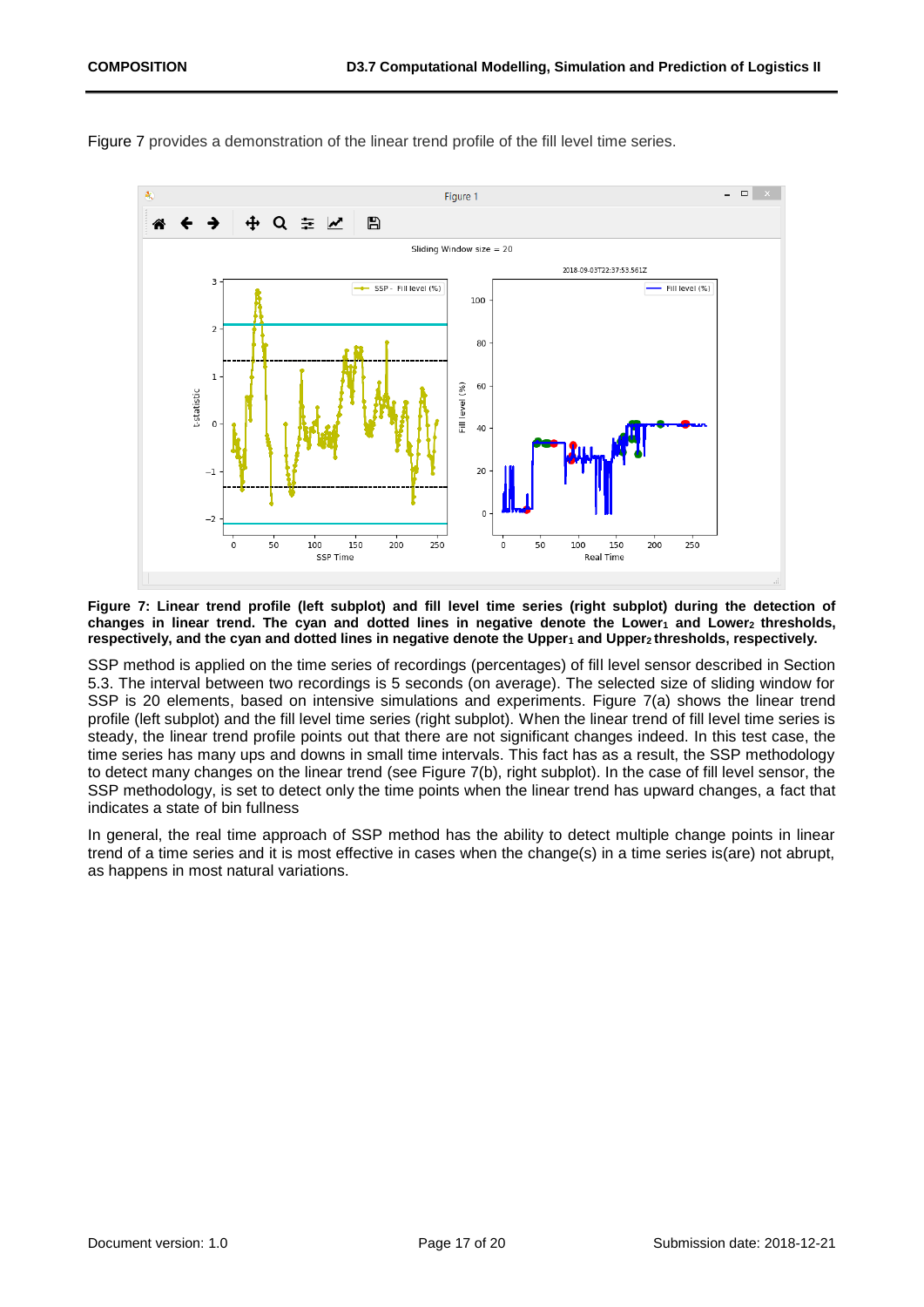

[Figure 7](#page-16-0) provides a demonstration of the linear trend profile of the fill level time series.

<span id="page-16-0"></span>**Figure 7: Linear trend profile (left subplot) and fill level time series (right subplot) during the detection of changes in linear trend. The cyan and dotted lines in negative denote the Lower<sup>1</sup> and Lower2 thresholds, respectively, and the cyan and dotted lines in negative denote the Upper<sup>1</sup> and Upper2 thresholds, respectively.** 

SSP method is applied on the time series of recordings (percentages) of fill level sensor described in Section 5.3. The interval between two recordings is 5 seconds (on average). The selected size of sliding window for SSP is 20 elements, based on intensive simulations and experiments. [Figure 7\(](#page-16-0)a) shows the linear trend profile (left subplot) and the fill level time series (right subplot). When the linear trend of fill level time series is steady, the linear trend profile points out that there are not significant changes indeed. In this test case, the time series has many ups and downs in small time intervals. This fact has as a result, the SSP methodology to detect many changes on the linear trend (see [Figure 7\(](#page-16-0)b), right subplot). In the case of fill level sensor, the SSP methodology, is set to detect only the time points when the linear trend has upward changes, a fact that indicates a state of bin fullness

In general, the real time approach of SSP method has the ability to detect multiple change points in linear trend of a time series and it is most effective in cases when the change(s) in a time series is(are) not abrupt, as happens in most natural variations.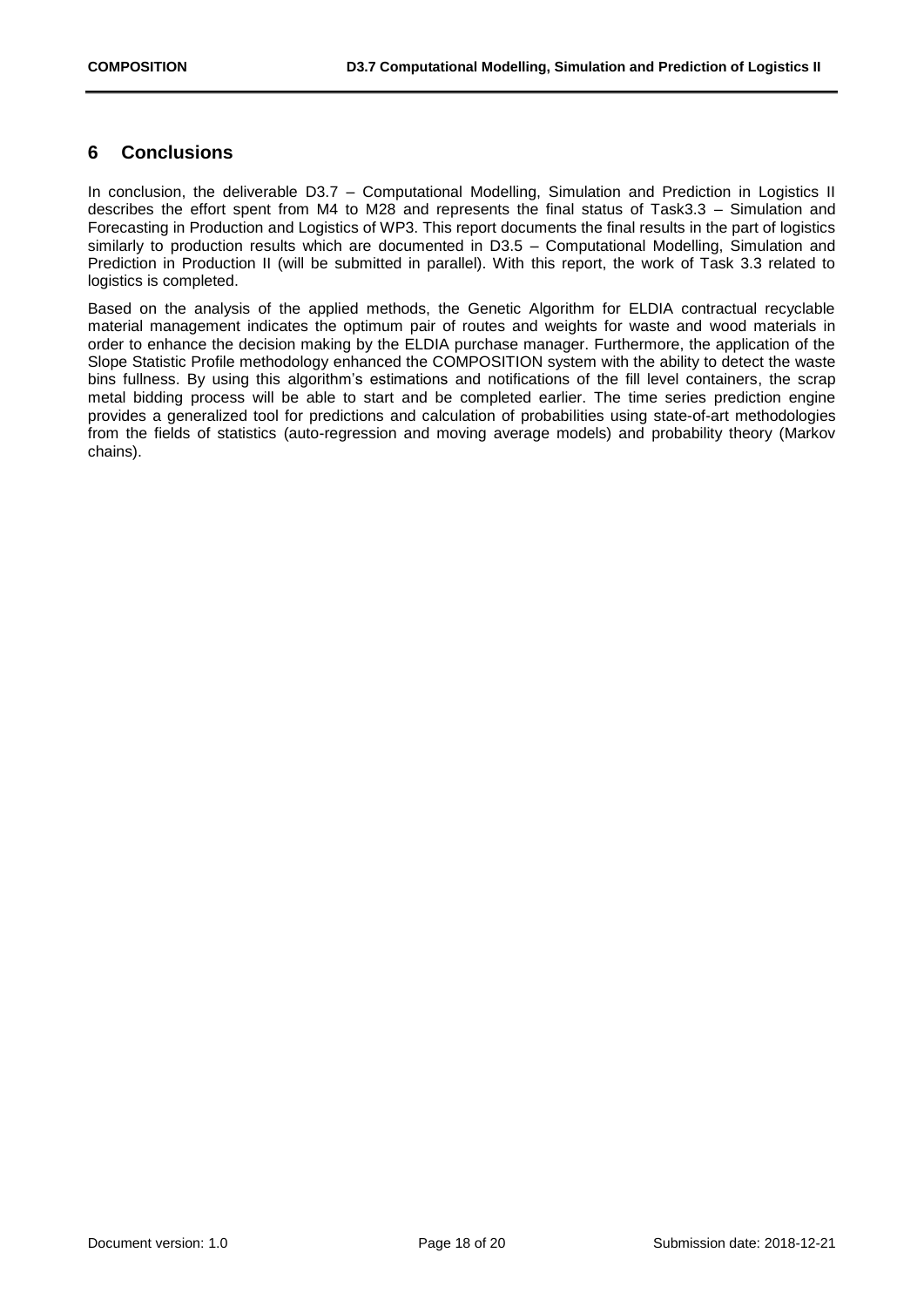## <span id="page-17-0"></span>**6 Conclusions**

In conclusion, the deliverable D3.7 – Computational Modelling, Simulation and Prediction in Logistics II describes the effort spent from M4 to M28 and represents the final status of Task3.3 – Simulation and Forecasting in Production and Logistics of WP3. This report documents the final results in the part of logistics similarly to production results which are documented in D3.5 – Computational Modelling, Simulation and Prediction in Production II (will be submitted in parallel). With this report, the work of Task 3.3 related to logistics is completed.

Based on the analysis of the applied methods, the Genetic Algorithm for ELDIA contractual recyclable material management indicates the optimum pair of routes and weights for waste and wood materials in order to enhance the decision making by the ELDIA purchase manager. Furthermore, the application of the Slope Statistic Profile methodology enhanced the COMPOSITION system with the ability to detect the waste bins fullness. By using this algorithm's estimations and notifications of the fill level containers, the scrap metal bidding process will be able to start and be completed earlier. The time series prediction engine provides a generalized tool for predictions and calculation of probabilities using state-of-art methodologies from the fields of statistics (auto-regression and moving average models) and probability theory (Markov chains).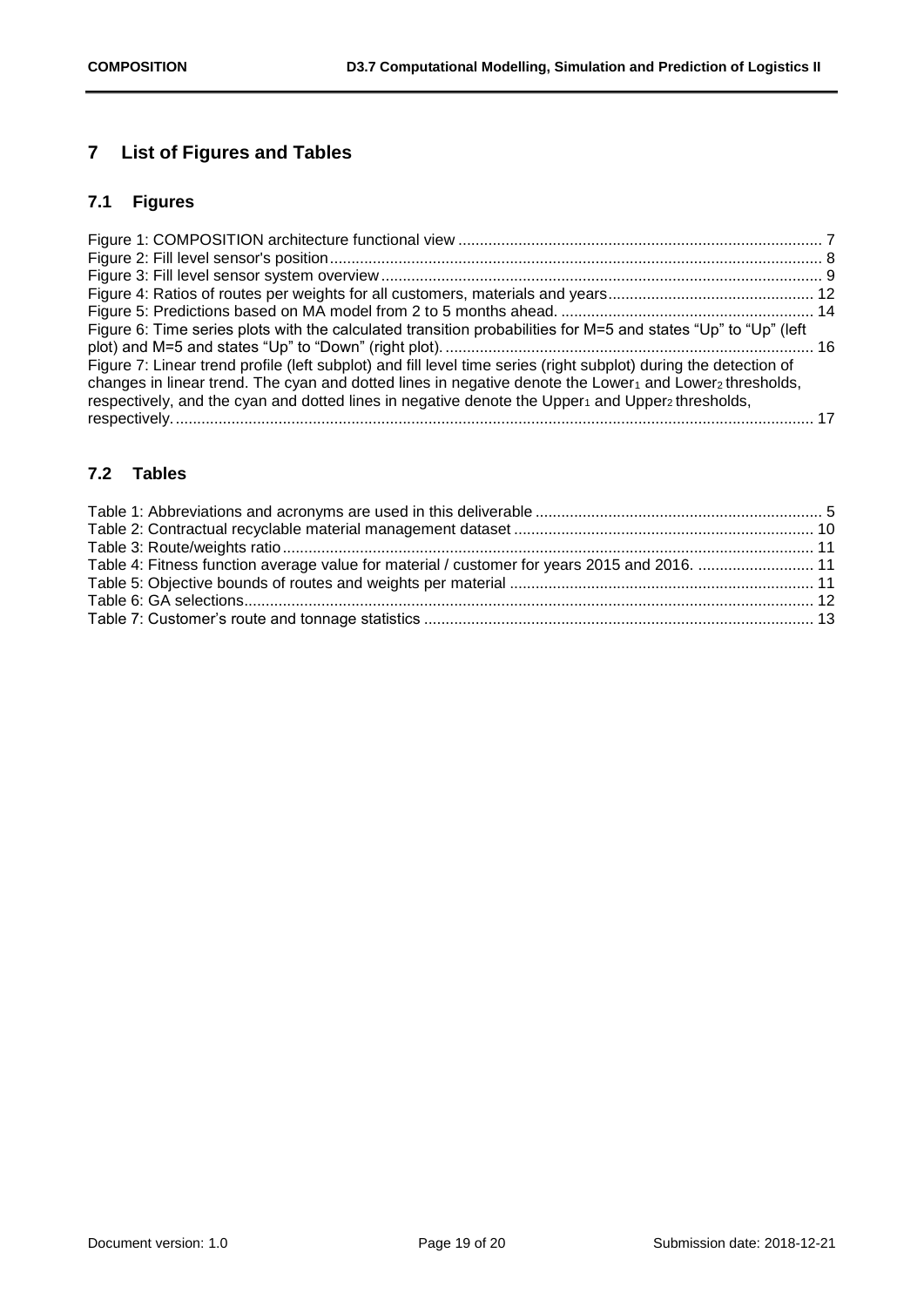## <span id="page-18-0"></span>**7 List of Figures and Tables**

## <span id="page-18-1"></span>**7.1 Figures**

| Figure 6: Time series plots with the calculated transition probabilities for M=5 and states "Up" to "Up" (left           |  |
|--------------------------------------------------------------------------------------------------------------------------|--|
|                                                                                                                          |  |
| Figure 7: Linear trend profile (left subplot) and fill level time series (right subplot) during the detection of         |  |
| changes in linear trend. The cyan and dotted lines in negative denote the Lower1 and Lower2 thresholds,                  |  |
| respectively, and the cyan and dotted lines in negative denote the Upper <sub>1</sub> and Upper <sub>2</sub> thresholds, |  |
|                                                                                                                          |  |

## <span id="page-18-2"></span>**7.2 Tables**

| Table 4: Fitness function average value for material / customer for years 2015 and 2016.  11 |  |
|----------------------------------------------------------------------------------------------|--|
|                                                                                              |  |
|                                                                                              |  |
|                                                                                              |  |